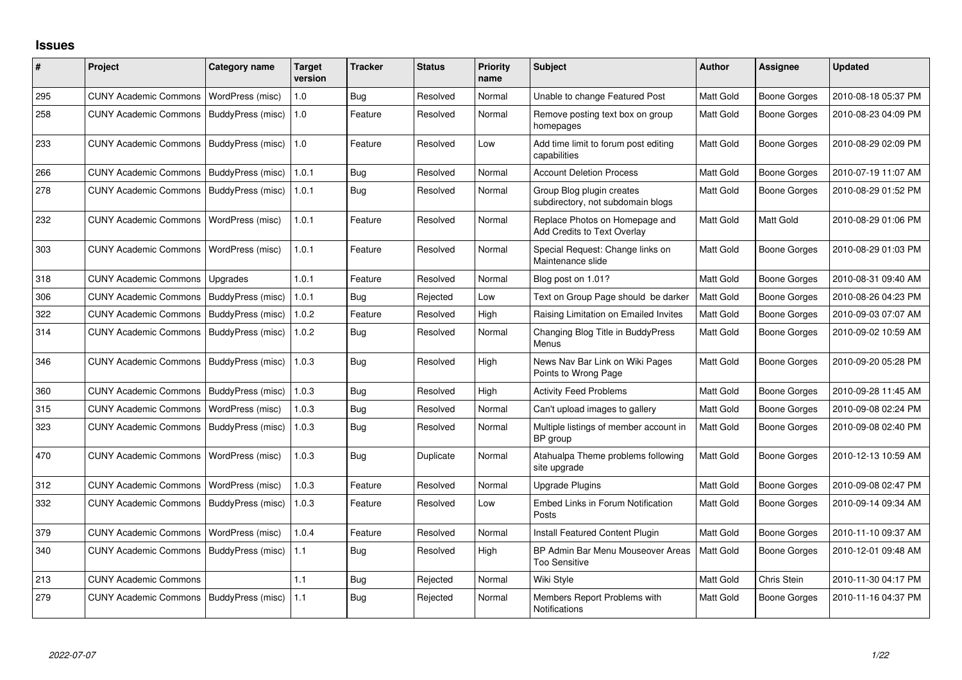## **Issues**

| #   | Project                      | <b>Category name</b> | <b>Target</b><br>version | <b>Tracker</b> | <b>Status</b> | <b>Priority</b><br>name | Subject                                                        | <b>Author</b>    | <b>Assignee</b>     | <b>Updated</b>      |
|-----|------------------------------|----------------------|--------------------------|----------------|---------------|-------------------------|----------------------------------------------------------------|------------------|---------------------|---------------------|
| 295 | <b>CUNY Academic Commons</b> | WordPress (misc)     | 1.0                      | Bug            | Resolved      | Normal                  | Unable to change Featured Post                                 | Matt Gold        | <b>Boone Gorges</b> | 2010-08-18 05:37 PM |
| 258 | <b>CUNY Academic Commons</b> | BuddyPress (misc)    | 1.0                      | Feature        | Resolved      | Normal                  | Remove posting text box on group<br>homepages                  | Matt Gold        | Boone Gorges        | 2010-08-23 04:09 PM |
| 233 | <b>CUNY Academic Commons</b> | BuddyPress (misc)    | 1.0                      | Feature        | Resolved      | Low                     | Add time limit to forum post editing<br>capabilities           | Matt Gold        | Boone Gorges        | 2010-08-29 02:09 PM |
| 266 | <b>CUNY Academic Commons</b> | BuddyPress (misc)    | 1.0.1                    | Bug            | Resolved      | Normal                  | <b>Account Deletion Process</b>                                | Matt Gold        | <b>Boone Gorges</b> | 2010-07-19 11:07 AM |
| 278 | <b>CUNY Academic Commons</b> | BuddyPress (misc)    | 1.0.1                    | Bug            | Resolved      | Normal                  | Group Blog plugin creates<br>subdirectory, not subdomain blogs | Matt Gold        | Boone Gorges        | 2010-08-29 01:52 PM |
| 232 | <b>CUNY Academic Commons</b> | WordPress (misc)     | 1.0.1                    | Feature        | Resolved      | Normal                  | Replace Photos on Homepage and<br>Add Credits to Text Overlay  | <b>Matt Gold</b> | Matt Gold           | 2010-08-29 01:06 PM |
| 303 | <b>CUNY Academic Commons</b> | WordPress (misc)     | 1.0.1                    | Feature        | Resolved      | Normal                  | Special Request: Change links on<br>Maintenance slide          | <b>Matt Gold</b> | Boone Gorges        | 2010-08-29 01:03 PM |
| 318 | <b>CUNY Academic Commons</b> | Upgrades             | 1.0.1                    | Feature        | Resolved      | Normal                  | Blog post on 1.01?                                             | Matt Gold        | <b>Boone Gorges</b> | 2010-08-31 09:40 AM |
| 306 | <b>CUNY Academic Commons</b> | BuddyPress (misc)    | 1.0.1                    | <b>Bug</b>     | Rejected      | Low                     | Text on Group Page should be darker                            | Matt Gold        | <b>Boone Gorges</b> | 2010-08-26 04:23 PM |
| 322 | <b>CUNY Academic Commons</b> | BuddyPress (misc)    | 1.0.2                    | Feature        | Resolved      | High                    | Raising Limitation on Emailed Invites                          | Matt Gold        | <b>Boone Gorges</b> | 2010-09-03 07:07 AM |
| 314 | <b>CUNY Academic Commons</b> | BuddyPress (misc)    | 1.0.2                    | Bug            | Resolved      | Normal                  | Changing Blog Title in BuddyPress<br>Menus                     | Matt Gold        | <b>Boone Gorges</b> | 2010-09-02 10:59 AM |
| 346 | <b>CUNY Academic Commons</b> | BuddyPress (misc)    | 1.0.3                    | <b>Bug</b>     | Resolved      | High                    | News Nav Bar Link on Wiki Pages<br>Points to Wrong Page        | Matt Gold        | <b>Boone Gorges</b> | 2010-09-20 05:28 PM |
| 360 | <b>CUNY Academic Commons</b> | BuddyPress (misc)    | 1.0.3                    | <b>Bug</b>     | Resolved      | High                    | <b>Activity Feed Problems</b>                                  | Matt Gold        | <b>Boone Gorges</b> | 2010-09-28 11:45 AM |
| 315 | <b>CUNY Academic Commons</b> | WordPress (misc)     | 1.0.3                    | Bug            | Resolved      | Normal                  | Can't upload images to gallery                                 | Matt Gold        | <b>Boone Gorges</b> | 2010-09-08 02:24 PM |
| 323 | <b>CUNY Academic Commons</b> | BuddyPress (misc)    | 1.0.3                    | Bug            | Resolved      | Normal                  | Multiple listings of member account in<br>BP group             | Matt Gold        | Boone Gorges        | 2010-09-08 02:40 PM |
| 470 | <b>CUNY Academic Commons</b> | WordPress (misc)     | 1.0.3                    | Bug            | Duplicate     | Normal                  | Atahualpa Theme problems following<br>site upgrade             | Matt Gold        | Boone Gorges        | 2010-12-13 10:59 AM |
| 312 | <b>CUNY Academic Commons</b> | WordPress (misc)     | 1.0.3                    | Feature        | Resolved      | Normal                  | <b>Upgrade Plugins</b>                                         | Matt Gold        | Boone Gorges        | 2010-09-08 02:47 PM |
| 332 | <b>CUNY Academic Commons</b> | BuddyPress (misc)    | 1.0.3                    | Feature        | Resolved      | Low                     | Embed Links in Forum Notification<br>Posts                     | <b>Matt Gold</b> | Boone Gorges        | 2010-09-14 09:34 AM |
| 379 | <b>CUNY Academic Commons</b> | WordPress (misc)     | 1.0.4                    | Feature        | Resolved      | Normal                  | Install Featured Content Plugin                                | Matt Gold        | <b>Boone Gorges</b> | 2010-11-10 09:37 AM |
| 340 | <b>CUNY Academic Commons</b> | BuddyPress (misc)    | 1.1                      | Bug            | Resolved      | High                    | BP Admin Bar Menu Mouseover Areas<br><b>Too Sensitive</b>      | Matt Gold        | Boone Gorges        | 2010-12-01 09:48 AM |
| 213 | <b>CUNY Academic Commons</b> |                      | 1.1                      | Bug            | Rejected      | Normal                  | Wiki Style                                                     | Matt Gold        | Chris Stein         | 2010-11-30 04:17 PM |
| 279 | <b>CUNY Academic Commons</b> | BuddyPress (misc)    | 1.1                      | <b>Bug</b>     | Rejected      | Normal                  | Members Report Problems with<br>Notifications                  | Matt Gold        | <b>Boone Gorges</b> | 2010-11-16 04:37 PM |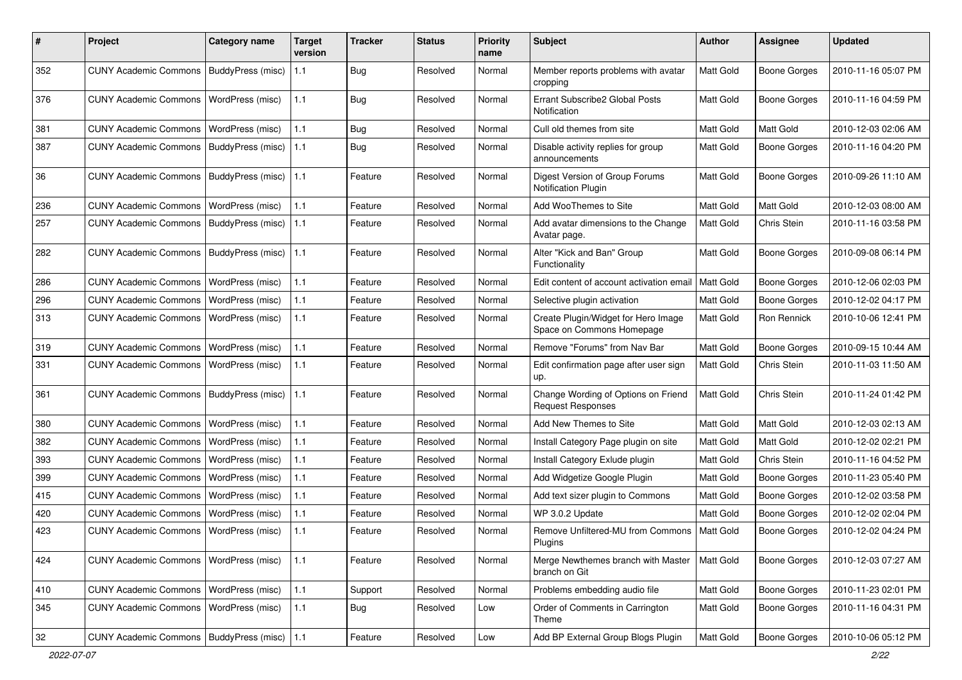| #   | Project                                   | <b>Category name</b>    | <b>Target</b><br>version | <b>Tracker</b> | <b>Status</b> | <b>Priority</b><br>name | Subject                                                          | Author           | Assignee            | <b>Updated</b>      |
|-----|-------------------------------------------|-------------------------|--------------------------|----------------|---------------|-------------------------|------------------------------------------------------------------|------------------|---------------------|---------------------|
| 352 | <b>CUNY Academic Commons</b>              | BuddyPress (misc)       | 1.1                      | <b>Bug</b>     | Resolved      | Normal                  | Member reports problems with avatar<br>cropping                  | <b>Matt Gold</b> | Boone Gorges        | 2010-11-16 05:07 PM |
| 376 | <b>CUNY Academic Commons</b>              | WordPress (misc)        | 1.1                      | <b>Bug</b>     | Resolved      | Normal                  | Errant Subscribe2 Global Posts<br>Notification                   | Matt Gold        | Boone Gorges        | 2010-11-16 04:59 PM |
| 381 | <b>CUNY Academic Commons</b>              | WordPress (misc)        | 1.1                      | <b>Bug</b>     | Resolved      | Normal                  | Cull old themes from site                                        | Matt Gold        | Matt Gold           | 2010-12-03 02:06 AM |
| 387 | <b>CUNY Academic Commons</b>              | BuddyPress (misc)       | 1.1                      | Bug            | Resolved      | Normal                  | Disable activity replies for group<br>announcements              | Matt Gold        | Boone Gorges        | 2010-11-16 04:20 PM |
| 36  | <b>CUNY Academic Commons</b>              | BuddyPress (misc)       | 1.1                      | Feature        | Resolved      | Normal                  | Digest Version of Group Forums<br><b>Notification Plugin</b>     | Matt Gold        | Boone Gorges        | 2010-09-26 11:10 AM |
| 236 | <b>CUNY Academic Commons</b>              | WordPress (misc)        | 1.1                      | Feature        | Resolved      | Normal                  | Add WooThemes to Site                                            | Matt Gold        | Matt Gold           | 2010-12-03 08:00 AM |
| 257 | <b>CUNY Academic Commons</b>              | BuddyPress (misc)       | $1.1$                    | Feature        | Resolved      | Normal                  | Add avatar dimensions to the Change<br>Avatar page.              | Matt Gold        | Chris Stein         | 2010-11-16 03:58 PM |
| 282 | <b>CUNY Academic Commons</b>              | BuddyPress (misc)       | 1.1                      | Feature        | Resolved      | Normal                  | Alter "Kick and Ban" Group<br>Functionality                      | Matt Gold        | <b>Boone Gorges</b> | 2010-09-08 06:14 PM |
| 286 | <b>CUNY Academic Commons</b>              | WordPress (misc)        | 1.1                      | Feature        | Resolved      | Normal                  | Edit content of account activation email                         | Matt Gold        | <b>Boone Gorges</b> | 2010-12-06 02:03 PM |
| 296 | <b>CUNY Academic Commons</b>              | WordPress (misc)        | 1.1                      | Feature        | Resolved      | Normal                  | Selective plugin activation                                      | Matt Gold        | <b>Boone Gorges</b> | 2010-12-02 04:17 PM |
| 313 | <b>CUNY Academic Commons</b>              | WordPress (misc)        | 1.1                      | Feature        | Resolved      | Normal                  | Create Plugin/Widget for Hero Image<br>Space on Commons Homepage | Matt Gold        | Ron Rennick         | 2010-10-06 12:41 PM |
| 319 | <b>CUNY Academic Commons</b>              | WordPress (misc)        | 1.1                      | Feature        | Resolved      | Normal                  | Remove "Forums" from Nav Bar                                     | Matt Gold        | <b>Boone Gorges</b> | 2010-09-15 10:44 AM |
| 331 | <b>CUNY Academic Commons</b>              | WordPress (misc)        | 1.1                      | Feature        | Resolved      | Normal                  | Edit confirmation page after user sign<br>up.                    | Matt Gold        | Chris Stein         | 2010-11-03 11:50 AM |
| 361 | <b>CUNY Academic Commons</b>              | BuddyPress (misc)       | 1.1                      | Feature        | Resolved      | Normal                  | Change Wording of Options on Friend<br><b>Request Responses</b>  | <b>Matt Gold</b> | Chris Stein         | 2010-11-24 01:42 PM |
| 380 | <b>CUNY Academic Commons</b>              | WordPress (misc)        | 1.1                      | Feature        | Resolved      | Normal                  | Add New Themes to Site                                           | Matt Gold        | Matt Gold           | 2010-12-03 02:13 AM |
| 382 | <b>CUNY Academic Commons</b>              | WordPress (misc)        | 1.1                      | Feature        | Resolved      | Normal                  | Install Category Page plugin on site                             | Matt Gold        | Matt Gold           | 2010-12-02 02:21 PM |
| 393 | <b>CUNY Academic Commons</b>              | WordPress (misc)        | 1.1                      | Feature        | Resolved      | Normal                  | Install Category Exlude plugin                                   | Matt Gold        | Chris Stein         | 2010-11-16 04:52 PM |
| 399 | <b>CUNY Academic Commons</b>              | WordPress (misc)        | 1.1                      | Feature        | Resolved      | Normal                  | Add Widgetize Google Plugin                                      | Matt Gold        | Boone Gorges        | 2010-11-23 05:40 PM |
| 415 | <b>CUNY Academic Commons</b>              | WordPress (misc)        | 1.1                      | Feature        | Resolved      | Normal                  | Add text sizer plugin to Commons                                 | Matt Gold        | <b>Boone Gorges</b> | 2010-12-02 03:58 PM |
| 420 | <b>CUNY Academic Commons</b>              | WordPress (misc)        | 1.1                      | Feature        | Resolved      | Normal                  | WP 3.0.2 Update                                                  | Matt Gold        | <b>Boone Gorges</b> | 2010-12-02 02:04 PM |
| 423 | <b>CUNY Academic Commons</b>              | <b>WordPress (misc)</b> | 1.1                      | Feature        | Resolved      | Normal                  | Remove Unfiltered-MU from Commons<br>Plugins                     | Matt Gold        | Boone Gorges        | 2010-12-02 04:24 PM |
| 424 | <b>CUNY Academic Commons</b>              | WordPress (misc)        | 1.1                      | Feature        | Resolved      | Normal                  | Merge Newthemes branch with Master<br>branch on Git              | Matt Gold        | <b>Boone Gorges</b> | 2010-12-03 07:27 AM |
| 410 | <b>CUNY Academic Commons</b>              | <b>WordPress (misc)</b> | 1.1                      | Support        | Resolved      | Normal                  | Problems embedding audio file                                    | Matt Gold        | Boone Gorges        | 2010-11-23 02:01 PM |
| 345 | <b>CUNY Academic Commons</b>              | WordPress (misc)        | $1.1$                    | Bug            | Resolved      | Low                     | Order of Comments in Carrington<br>Theme                         | Matt Gold        | Boone Gorges        | 2010-11-16 04:31 PM |
| 32  | CUNY Academic Commons   BuddyPress (misc) |                         | 1.1                      | Feature        | Resolved      | Low                     | Add BP External Group Blogs Plugin                               | Matt Gold        | Boone Gorges        | 2010-10-06 05:12 PM |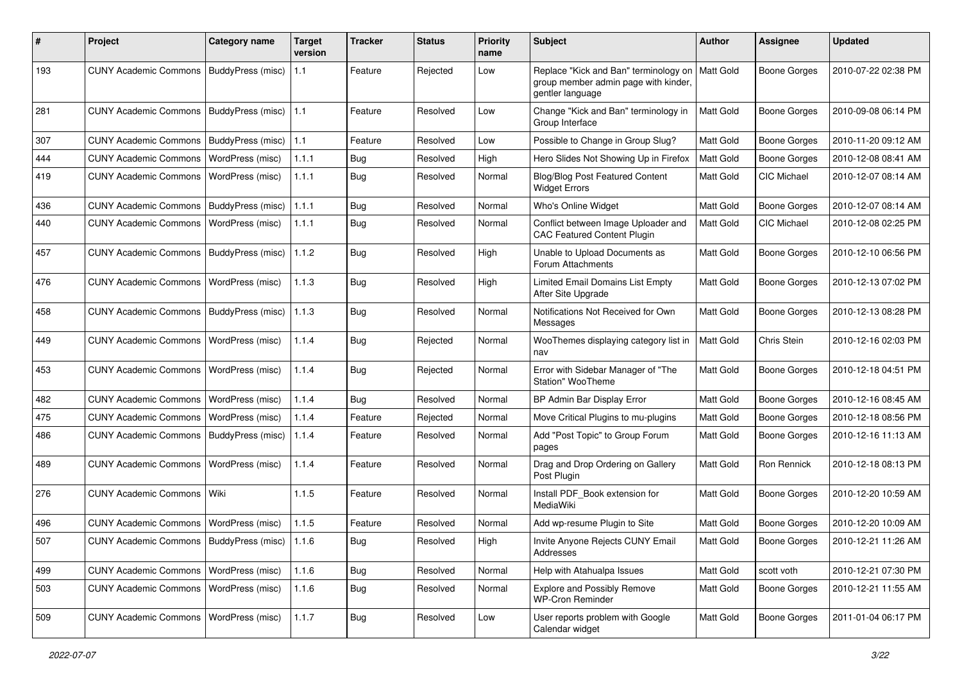| #   | Project                                           | <b>Category name</b> | Target<br>version | <b>Tracker</b> | <b>Status</b> | <b>Priority</b><br>name | Subject                                                                                           | <b>Author</b>    | Assignee            | <b>Updated</b>      |
|-----|---------------------------------------------------|----------------------|-------------------|----------------|---------------|-------------------------|---------------------------------------------------------------------------------------------------|------------------|---------------------|---------------------|
| 193 | <b>CUNY Academic Commons</b>                      | BuddyPress (misc)    | 1.1               | Feature        | Rejected      | Low                     | Replace "Kick and Ban" terminology on<br>group member admin page with kinder,<br>gentler language | Matt Gold        | <b>Boone Gorges</b> | 2010-07-22 02:38 PM |
| 281 | <b>CUNY Academic Commons</b>                      | BuddyPress (misc)    | 1.1               | Feature        | Resolved      | Low                     | Change "Kick and Ban" terminology in<br>Group Interface                                           | <b>Matt Gold</b> | <b>Boone Gorges</b> | 2010-09-08 06:14 PM |
| 307 | <b>CUNY Academic Commons</b>                      | BuddyPress (misc)    | 1.1               | Feature        | Resolved      | Low                     | Possible to Change in Group Slug?                                                                 | Matt Gold        | <b>Boone Gorges</b> | 2010-11-20 09:12 AM |
| 444 | <b>CUNY Academic Commons</b>                      | WordPress (misc)     | 1.1.1             | <b>Bug</b>     | Resolved      | High                    | Hero Slides Not Showing Up in Firefox                                                             | Matt Gold        | Boone Gorges        | 2010-12-08 08:41 AM |
| 419 | <b>CUNY Academic Commons</b>                      | WordPress (misc)     | 1.1.1             | <b>Bug</b>     | Resolved      | Normal                  | Blog/Blog Post Featured Content<br><b>Widget Errors</b>                                           | Matt Gold        | CIC Michael         | 2010-12-07 08:14 AM |
| 436 | <b>CUNY Academic Commons</b>                      | BuddyPress (misc)    | 1.1.1             | Bug            | Resolved      | Normal                  | Who's Online Widget                                                                               | Matt Gold        | <b>Boone Gorges</b> | 2010-12-07 08:14 AM |
| 440 | <b>CUNY Academic Commons</b>                      | WordPress (misc)     | 1.1.1             | <b>Bug</b>     | Resolved      | Normal                  | Conflict between Image Uploader and<br><b>CAC Featured Content Plugin</b>                         | Matt Gold        | <b>CIC Michael</b>  | 2010-12-08 02:25 PM |
| 457 | <b>CUNY Academic Commons</b>                      | BuddyPress (misc)    | 1.1.2             | <b>Bug</b>     | Resolved      | High                    | Unable to Upload Documents as<br>Forum Attachments                                                | Matt Gold        | <b>Boone Gorges</b> | 2010-12-10 06:56 PM |
| 476 | <b>CUNY Academic Commons</b>                      | WordPress (misc)     | 1.1.3             | <b>Bug</b>     | Resolved      | High                    | Limited Email Domains List Empty<br>After Site Upgrade                                            | Matt Gold        | <b>Boone Gorges</b> | 2010-12-13 07:02 PM |
| 458 | <b>CUNY Academic Commons</b>                      | BuddyPress (misc)    | 1.1.3             | Bug            | Resolved      | Normal                  | Notifications Not Received for Own<br>Messages                                                    | Matt Gold        | <b>Boone Gorges</b> | 2010-12-13 08:28 PM |
| 449 | <b>CUNY Academic Commons</b>                      | WordPress (misc)     | 1.1.4             | <b>Bug</b>     | Rejected      | Normal                  | WooThemes displaying category list in<br>nav                                                      | <b>Matt Gold</b> | Chris Stein         | 2010-12-16 02:03 PM |
| 453 | <b>CUNY Academic Commons</b>                      | WordPress (misc)     | 1.1.4             | Bug            | Rejected      | Normal                  | Error with Sidebar Manager of "The<br>Station" WooTheme                                           | <b>Matt Gold</b> | Boone Gorges        | 2010-12-18 04:51 PM |
| 482 | <b>CUNY Academic Commons</b>                      | WordPress (misc)     | 1.1.4             | Bug            | Resolved      | Normal                  | BP Admin Bar Display Error                                                                        | Matt Gold        | <b>Boone Gorges</b> | 2010-12-16 08:45 AM |
| 475 | <b>CUNY Academic Commons</b>                      | WordPress (misc)     | 1.1.4             | Feature        | Rejected      | Normal                  | Move Critical Plugins to mu-plugins                                                               | Matt Gold        | <b>Boone Gorges</b> | 2010-12-18 08:56 PM |
| 486 | <b>CUNY Academic Commons</b>                      | BuddyPress (misc)    | 1.1.4             | Feature        | Resolved      | Normal                  | Add "Post Topic" to Group Forum<br>pages                                                          | <b>Matt Gold</b> | Boone Gorges        | 2010-12-16 11:13 AM |
| 489 | <b>CUNY Academic Commons</b>                      | WordPress (misc)     | 1.1.4             | Feature        | Resolved      | Normal                  | Drag and Drop Ordering on Gallery<br>Post Plugin                                                  | <b>Matt Gold</b> | Ron Rennick         | 2010-12-18 08:13 PM |
| 276 | <b>CUNY Academic Commons</b>                      | Wiki                 | 1.1.5             | Feature        | Resolved      | Normal                  | Install PDF_Book extension for<br>MediaWiki                                                       | Matt Gold        | Boone Gorges        | 2010-12-20 10:59 AM |
| 496 | <b>CUNY Academic Commons</b>                      | WordPress (misc)     | 1.1.5             | Feature        | Resolved      | Normal                  | Add wp-resume Plugin to Site                                                                      | Matt Gold        | <b>Boone Gorges</b> | 2010-12-20 10:09 AM |
| 507 | CUNY Academic Commons   BuddyPress (misc)   1.1.6 |                      |                   | Bug            | Resolved      | High                    | Invite Anyone Rejects CUNY Email<br>Addresses                                                     | Matt Gold        | Boone Gorges        | 2010-12-21 11:26 AM |
| 499 | CUNY Academic Commons   WordPress (misc)          |                      | 1.1.6             | Bug            | Resolved      | Normal                  | Help with Atahualpa Issues                                                                        | Matt Gold        | scott voth          | 2010-12-21 07:30 PM |
| 503 | <b>CUNY Academic Commons</b>                      | WordPress (misc)     | 1.1.6             | <b>Bug</b>     | Resolved      | Normal                  | <b>Explore and Possibly Remove</b><br><b>WP-Cron Reminder</b>                                     | Matt Gold        | <b>Boone Gorges</b> | 2010-12-21 11:55 AM |
| 509 | CUNY Academic Commons   WordPress (misc)          |                      | 1.1.7             | Bug            | Resolved      | Low                     | User reports problem with Google<br>Calendar widget                                               | Matt Gold        | <b>Boone Gorges</b> | 2011-01-04 06:17 PM |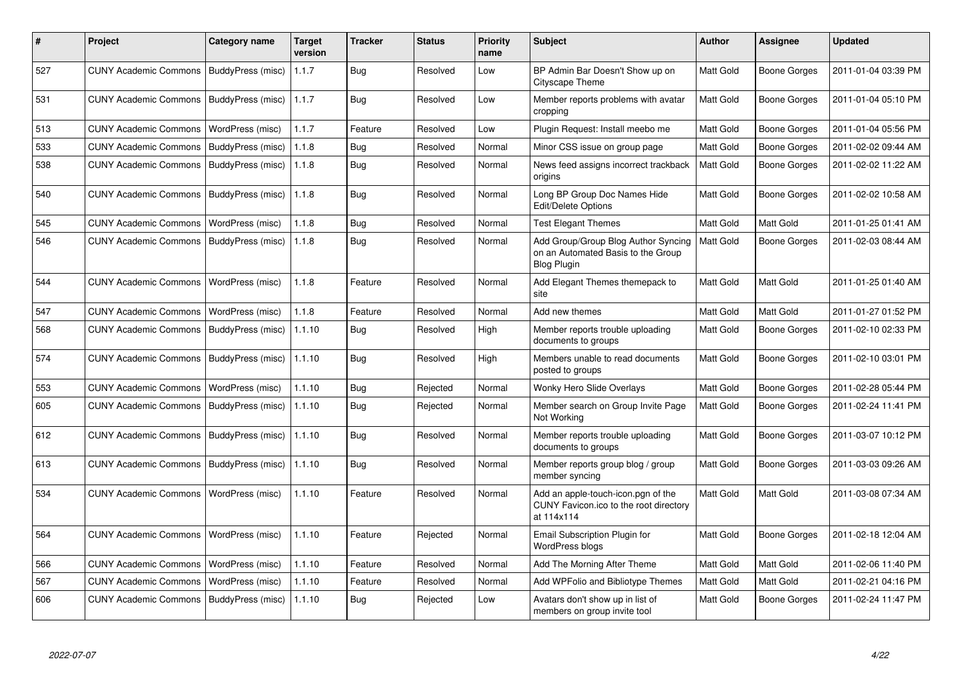| #   | Project                      | Category name            | <b>Target</b><br>version | <b>Tracker</b> | <b>Status</b> | <b>Priority</b><br>name | <b>Subject</b>                                                                                  | <b>Author</b> | <b>Assignee</b>     | <b>Updated</b>      |
|-----|------------------------------|--------------------------|--------------------------|----------------|---------------|-------------------------|-------------------------------------------------------------------------------------------------|---------------|---------------------|---------------------|
| 527 | <b>CUNY Academic Commons</b> | <b>BuddyPress (misc)</b> | 1.1.7                    | Bug            | Resolved      | Low                     | BP Admin Bar Doesn't Show up on<br>Cityscape Theme                                              | Matt Gold     | <b>Boone Gorges</b> | 2011-01-04 03:39 PM |
| 531 | <b>CUNY Academic Commons</b> | BuddyPress (misc)        | 1.1.7                    | Bug            | Resolved      | Low                     | Member reports problems with avatar<br>cropping                                                 | Matt Gold     | <b>Boone Gorges</b> | 2011-01-04 05:10 PM |
| 513 | <b>CUNY Academic Commons</b> | WordPress (misc)         | 1.1.7                    | Feature        | Resolved      | Low                     | Plugin Request: Install meebo me                                                                | Matt Gold     | Boone Gorges        | 2011-01-04 05:56 PM |
| 533 | <b>CUNY Academic Commons</b> | BuddyPress (misc)        | 1.1.8                    | Bug            | Resolved      | Normal                  | Minor CSS issue on group page                                                                   | Matt Gold     | <b>Boone Gorges</b> | 2011-02-02 09:44 AM |
| 538 | <b>CUNY Academic Commons</b> | BuddyPress (misc)        | 1.1.8                    | Bug            | Resolved      | Normal                  | News feed assigns incorrect trackback<br>origins                                                | Matt Gold     | <b>Boone Gorges</b> | 2011-02-02 11:22 AM |
| 540 | <b>CUNY Academic Commons</b> | BuddyPress (misc)        | 1.1.8                    | Bug            | Resolved      | Normal                  | Long BP Group Doc Names Hide<br>Edit/Delete Options                                             | Matt Gold     | <b>Boone Gorges</b> | 2011-02-02 10:58 AM |
| 545 | <b>CUNY Academic Commons</b> | WordPress (misc)         | 1.1.8                    | <b>Bug</b>     | Resolved      | Normal                  | <b>Test Elegant Themes</b>                                                                      | Matt Gold     | Matt Gold           | 2011-01-25 01:41 AM |
| 546 | <b>CUNY Academic Commons</b> | BuddyPress (misc)        | 1.1.8                    | Bug            | Resolved      | Normal                  | Add Group/Group Blog Author Syncing<br>on an Automated Basis to the Group<br><b>Blog Plugin</b> | Matt Gold     | Boone Gorges        | 2011-02-03 08:44 AM |
| 544 | <b>CUNY Academic Commons</b> | WordPress (misc)         | 1.1.8                    | Feature        | Resolved      | Normal                  | Add Elegant Themes themepack to<br>site                                                         | Matt Gold     | Matt Gold           | 2011-01-25 01:40 AM |
| 547 | <b>CUNY Academic Commons</b> | WordPress (misc)         | 1.1.8                    | Feature        | Resolved      | Normal                  | Add new themes                                                                                  | Matt Gold     | Matt Gold           | 2011-01-27 01:52 PM |
| 568 | <b>CUNY Academic Commons</b> | BuddyPress (misc)        | 1.1.10                   | Bug            | Resolved      | High                    | Member reports trouble uploading<br>documents to groups                                         | Matt Gold     | <b>Boone Gorges</b> | 2011-02-10 02:33 PM |
| 574 | <b>CUNY Academic Commons</b> | <b>BuddyPress (misc)</b> | 1.1.10                   | Bug            | Resolved      | High                    | Members unable to read documents<br>posted to groups                                            | Matt Gold     | <b>Boone Gorges</b> | 2011-02-10 03:01 PM |
| 553 | <b>CUNY Academic Commons</b> | WordPress (misc)         | 1.1.10                   | Bug            | Rejected      | Normal                  | <b>Wonky Hero Slide Overlays</b>                                                                | Matt Gold     | Boone Gorges        | 2011-02-28 05:44 PM |
| 605 | <b>CUNY Academic Commons</b> | BuddyPress (misc)        | 1.1.10                   | Bug            | Rejected      | Normal                  | Member search on Group Invite Page<br>Not Working                                               | Matt Gold     | <b>Boone Gorges</b> | 2011-02-24 11:41 PM |
| 612 | <b>CUNY Academic Commons</b> | BuddyPress (misc)        | 1.1.10                   | Bug            | Resolved      | Normal                  | Member reports trouble uploading<br>documents to groups                                         | Matt Gold     | <b>Boone Gorges</b> | 2011-03-07 10:12 PM |
| 613 | <b>CUNY Academic Commons</b> | BuddyPress (misc)        | 1.1.10                   | <b>Bug</b>     | Resolved      | Normal                  | Member reports group blog / group<br>member syncing                                             | Matt Gold     | <b>Boone Gorges</b> | 2011-03-03 09:26 AM |
| 534 | <b>CUNY Academic Commons</b> | WordPress (misc)         | 1.1.10                   | Feature        | Resolved      | Normal                  | Add an apple-touch-icon.pgn of the<br>CUNY Favicon.ico to the root directory<br>at 114x114      | Matt Gold     | Matt Gold           | 2011-03-08 07:34 AM |
| 564 | <b>CUNY Academic Commons</b> | WordPress (misc)         | 1.1.10                   | Feature        | Rejected      | Normal                  | Email Subscription Plugin for<br>WordPress blogs                                                | Matt Gold     | <b>Boone Gorges</b> | 2011-02-18 12:04 AM |
| 566 | <b>CUNY Academic Commons</b> | WordPress (misc)         | 1.1.10                   | Feature        | Resolved      | Normal                  | Add The Morning After Theme                                                                     | Matt Gold     | Matt Gold           | 2011-02-06 11:40 PM |
| 567 | <b>CUNY Academic Commons</b> | WordPress (misc)         | 1.1.10                   | Feature        | Resolved      | Normal                  | Add WPFolio and Bibliotype Themes                                                               | Matt Gold     | Matt Gold           | 2011-02-21 04:16 PM |
| 606 | <b>CUNY Academic Commons</b> | BuddyPress (misc)        | 1.1.10                   | Bug            | Rejected      | Low                     | Avatars don't show up in list of<br>members on group invite tool                                | Matt Gold     | <b>Boone Gorges</b> | 2011-02-24 11:47 PM |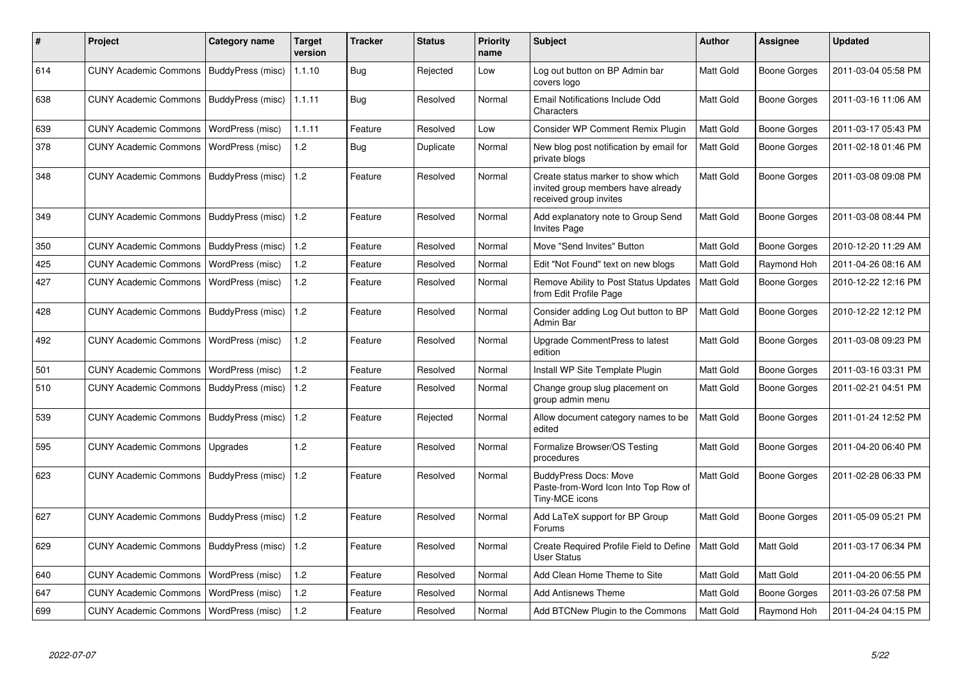| #   | <b>Project</b>                           | Category name            | <b>Target</b><br>version | <b>Tracker</b> | <b>Status</b> | <b>Priority</b><br>name | <b>Subject</b>                                                                                     | Author           | Assignee     | <b>Updated</b>      |
|-----|------------------------------------------|--------------------------|--------------------------|----------------|---------------|-------------------------|----------------------------------------------------------------------------------------------------|------------------|--------------|---------------------|
| 614 | <b>CUNY Academic Commons</b>             | BuddyPress (misc)        | 1.1.10                   | <b>Bug</b>     | Rejected      | Low                     | Log out button on BP Admin bar<br>covers logo                                                      | Matt Gold        | Boone Gorges | 2011-03-04 05:58 PM |
| 638 | <b>CUNY Academic Commons</b>             | BuddyPress (misc)        | 1.1.11                   | Bug            | Resolved      | Normal                  | Email Notifications Include Odd<br>Characters                                                      | Matt Gold        | Boone Gorges | 2011-03-16 11:06 AM |
| 639 | <b>CUNY Academic Commons</b>             | WordPress (misc)         | 1.1.11                   | Feature        | Resolved      | Low                     | Consider WP Comment Remix Plugin                                                                   | Matt Gold        | Boone Gorges | 2011-03-17 05:43 PM |
| 378 | <b>CUNY Academic Commons</b>             | WordPress (misc)         | 1.2                      | Bug            | Duplicate     | Normal                  | New blog post notification by email for<br>private blogs                                           | Matt Gold        | Boone Gorges | 2011-02-18 01:46 PM |
| 348 | <b>CUNY Academic Commons</b>             | BuddyPress (misc)        | 1.2                      | Feature        | Resolved      | Normal                  | Create status marker to show which<br>invited group members have already<br>received group invites | Matt Gold        | Boone Gorges | 2011-03-08 09:08 PM |
| 349 | <b>CUNY Academic Commons</b>             | BuddyPress (misc)        | 1.2                      | Feature        | Resolved      | Normal                  | Add explanatory note to Group Send<br><b>Invites Page</b>                                          | Matt Gold        | Boone Gorges | 2011-03-08 08:44 PM |
| 350 | <b>CUNY Academic Commons</b>             | BuddyPress (misc)        | 1.2                      | Feature        | Resolved      | Normal                  | Move "Send Invites" Button                                                                         | Matt Gold        | Boone Gorges | 2010-12-20 11:29 AM |
| 425 | <b>CUNY Academic Commons</b>             | WordPress (misc)         | 1.2                      | Feature        | Resolved      | Normal                  | Edit "Not Found" text on new blogs                                                                 | Matt Gold        | Raymond Hoh  | 2011-04-26 08:16 AM |
| 427 | <b>CUNY Academic Commons</b>             | WordPress (misc)         | $1.2$                    | Feature        | Resolved      | Normal                  | Remove Ability to Post Status Updates<br>from Edit Profile Page                                    | Matt Gold        | Boone Gorges | 2010-12-22 12:16 PM |
| 428 | <b>CUNY Academic Commons</b>             | BuddyPress (misc)        | 1.2                      | Feature        | Resolved      | Normal                  | Consider adding Log Out button to BP<br>Admin Bar                                                  | Matt Gold        | Boone Gorges | 2010-12-22 12:12 PM |
| 492 | <b>CUNY Academic Commons</b>             | WordPress (misc)         | 1.2                      | Feature        | Resolved      | Normal                  | Upgrade CommentPress to latest<br>edition                                                          | Matt Gold        | Boone Gorges | 2011-03-08 09:23 PM |
| 501 | <b>CUNY Academic Commons</b>             | WordPress (misc)         | 1.2                      | Feature        | Resolved      | Normal                  | Install WP Site Template Plugin                                                                    | Matt Gold        | Boone Gorges | 2011-03-16 03:31 PM |
| 510 | <b>CUNY Academic Commons</b>             | BuddyPress (misc)        | 1.2                      | Feature        | Resolved      | Normal                  | Change group slug placement on<br>group admin menu                                                 | Matt Gold        | Boone Gorges | 2011-02-21 04:51 PM |
| 539 | <b>CUNY Academic Commons</b>             | BuddyPress (misc)        | 1.2                      | Feature        | Rejected      | Normal                  | Allow document category names to be<br>edited                                                      | Matt Gold        | Boone Gorges | 2011-01-24 12:52 PM |
| 595 | <b>CUNY Academic Commons</b>             | Upgrades                 | 1.2                      | Feature        | Resolved      | Normal                  | Formalize Browser/OS Testing<br>procedures                                                         | <b>Matt Gold</b> | Boone Gorges | 2011-04-20 06:40 PM |
| 623 | <b>CUNY Academic Commons</b>             | BuddyPress (misc)        | 1.2                      | Feature        | Resolved      | Normal                  | <b>BuddyPress Docs: Move</b><br>Paste-from-Word Icon Into Top Row of<br>Tiny-MCE icons             | Matt Gold        | Boone Gorges | 2011-02-28 06:33 PM |
| 627 | <b>CUNY Academic Commons</b>             | BuddyPress (misc)        | 1.2                      | Feature        | Resolved      | Normal                  | Add LaTeX support for BP Group<br>Forums                                                           | Matt Gold        | Boone Gorges | 2011-05-09 05:21 PM |
| 629 | <b>CUNY Academic Commons</b>             | <b>BuddyPress (misc)</b> | 1.2                      | Feature        | Resolved      | Normal                  | Create Required Profile Field to Define<br><b>User Status</b>                                      | Matt Gold        | Matt Gold    | 2011-03-17 06:34 PM |
| 640 | <b>CUNY Academic Commons</b>             | WordPress (misc)         | 1.2                      | Feature        | Resolved      | Normal                  | Add Clean Home Theme to Site                                                                       | Matt Gold        | Matt Gold    | 2011-04-20 06:55 PM |
| 647 | <b>CUNY Academic Commons</b>             | WordPress (misc)         | 1.2                      | Feature        | Resolved      | Normal                  | <b>Add Antisnews Theme</b>                                                                         | Matt Gold        | Boone Gorges | 2011-03-26 07:58 PM |
| 699 | CUNY Academic Commons   WordPress (misc) |                          | 1.2                      | Feature        | Resolved      | Normal                  | Add BTCNew Plugin to the Commons                                                                   | Matt Gold        | Raymond Hoh  | 2011-04-24 04:15 PM |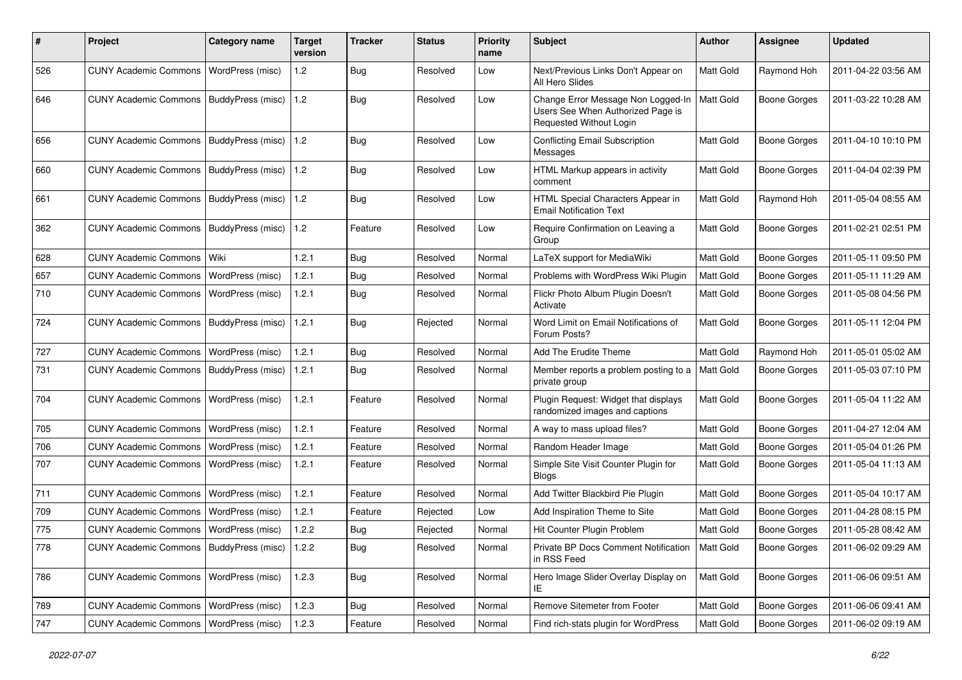| ∦   | Project                                           | <b>Category name</b>     | <b>Target</b><br>version | <b>Tracker</b> | <b>Status</b> | <b>Priority</b><br>name | <b>Subject</b>                                                                                     | Author           | <b>Assignee</b>     | <b>Updated</b>      |
|-----|---------------------------------------------------|--------------------------|--------------------------|----------------|---------------|-------------------------|----------------------------------------------------------------------------------------------------|------------------|---------------------|---------------------|
| 526 | <b>CUNY Academic Commons</b>                      | WordPress (misc)         | 1.2                      | Bug            | Resolved      | Low                     | Next/Previous Links Don't Appear on<br>All Hero Slides                                             | Matt Gold        | Raymond Hoh         | 2011-04-22 03:56 AM |
| 646 | CUNY Academic Commons   BuddyPress (misc)         |                          | 1.2                      | Bug            | Resolved      | Low                     | Change Error Message Non Logged-In<br>Users See When Authorized Page is<br>Requested Without Login | <b>Matt Gold</b> | <b>Boone Gorges</b> | 2011-03-22 10:28 AM |
| 656 | <b>CUNY Academic Commons</b>                      | BuddyPress (misc)        | 1.2                      | Bug            | Resolved      | Low                     | <b>Conflicting Email Subscription</b><br>Messages                                                  | Matt Gold        | <b>Boone Gorges</b> | 2011-04-10 10:10 PM |
| 660 | <b>CUNY Academic Commons</b>                      | BuddyPress (misc)        | 1.2                      | Bug            | Resolved      | Low                     | HTML Markup appears in activity<br>comment                                                         | Matt Gold        | <b>Boone Gorges</b> | 2011-04-04 02:39 PM |
| 661 | <b>CUNY Academic Commons</b>                      | BuddyPress (misc)        | 1.2                      | Bug            | Resolved      | Low                     | HTML Special Characters Appear in<br><b>Email Notification Text</b>                                | Matt Gold        | Raymond Hoh         | 2011-05-04 08:55 AM |
| 362 | <b>CUNY Academic Commons</b>                      | <b>BuddyPress</b> (misc) | 1.2                      | Feature        | Resolved      | Low                     | Require Confirmation on Leaving a<br>Group                                                         | Matt Gold        | <b>Boone Gorges</b> | 2011-02-21 02:51 PM |
| 628 | <b>CUNY Academic Commons</b>                      | l Wiki                   | 1.2.1                    | Bug            | Resolved      | Normal                  | LaTeX support for MediaWiki                                                                        | Matt Gold        | <b>Boone Gorges</b> | 2011-05-11 09:50 PM |
| 657 | <b>CUNY Academic Commons</b>                      | WordPress (misc)         | 1.2.1                    | Bug            | Resolved      | Normal                  | Problems with WordPress Wiki Plugin                                                                | Matt Gold        | <b>Boone Gorges</b> | 2011-05-11 11:29 AM |
| 710 | <b>CUNY Academic Commons</b>                      | WordPress (misc)         | 1.2.1                    | Bug            | Resolved      | Normal                  | Flickr Photo Album Plugin Doesn't<br>Activate                                                      | Matt Gold        | <b>Boone Gorges</b> | 2011-05-08 04:56 PM |
| 724 | <b>CUNY Academic Commons</b>                      | BuddyPress (misc)        | 1.2.1                    | Bug            | Rejected      | Normal                  | Word Limit on Email Notifications of<br>Forum Posts?                                               | Matt Gold        | <b>Boone Gorges</b> | 2011-05-11 12:04 PM |
| 727 | <b>CUNY Academic Commons</b>                      | <b>WordPress (misc)</b>  | 1.2.1                    | Bug            | Resolved      | Normal                  | Add The Erudite Theme                                                                              | Matt Gold        | Raymond Hoh         | 2011-05-01 05:02 AM |
| 731 | <b>CUNY Academic Commons</b>                      | BuddyPress (misc)        | 1.2.1                    | Bug            | Resolved      | Normal                  | Member reports a problem posting to a<br>private group                                             | Matt Gold        | Boone Gorges        | 2011-05-03 07:10 PM |
| 704 | <b>CUNY Academic Commons</b>                      | <b>WordPress (misc)</b>  | 1.2.1                    | Feature        | Resolved      | Normal                  | Plugin Request: Widget that displays<br>randomized images and captions                             | Matt Gold        | <b>Boone Gorges</b> | 2011-05-04 11:22 AM |
| 705 | <b>CUNY Academic Commons</b>                      | WordPress (misc)         | 1.2.1                    | Feature        | Resolved      | Normal                  | A way to mass upload files?                                                                        | Matt Gold        | <b>Boone Gorges</b> | 2011-04-27 12:04 AM |
| 706 | <b>CUNY Academic Commons</b>                      | WordPress (misc)         | 1.2.1                    | Feature        | Resolved      | Normal                  | Random Header Image                                                                                | Matt Gold        | <b>Boone Gorges</b> | 2011-05-04 01:26 PM |
| 707 | <b>CUNY Academic Commons</b>                      | WordPress (misc)         | 1.2.1                    | Feature        | Resolved      | Normal                  | Simple Site Visit Counter Plugin for<br><b>Blogs</b>                                               | Matt Gold        | <b>Boone Gorges</b> | 2011-05-04 11:13 AM |
| 711 | <b>CUNY Academic Commons</b>                      | WordPress (misc)         | 1.2.1                    | Feature        | Resolved      | Normal                  | Add Twitter Blackbird Pie Plugin                                                                   | Matt Gold        | <b>Boone Gorges</b> | 2011-05-04 10:17 AM |
| 709 | <b>CUNY Academic Commons</b>                      | WordPress (misc)         | 1.2.1                    | Feature        | Rejected      | Low                     | Add Inspiration Theme to Site                                                                      | Matt Gold        | <b>Boone Gorges</b> | 2011-04-28 08:15 PM |
| 775 | <b>CUNY Academic Commons</b>                      | WordPress (misc)         | 1.2.2                    | <b>Bug</b>     | Rejected      | Normal                  | Hit Counter Plugin Problem                                                                         | Matt Gold        | <b>Boone Gorges</b> | 2011-05-28 08:42 AM |
| 778 | CUNY Academic Commons   BuddyPress (misc)   1.2.2 |                          |                          | <b>Bug</b>     | Resolved      | Normal                  | Private BP Docs Comment Notification   Matt Gold<br>in RSS Feed                                    |                  | <b>Boone Gorges</b> | 2011-06-02 09:29 AM |
| 786 | CUNY Academic Commons   WordPress (misc)          |                          | 1.2.3                    | <b>Bug</b>     | Resolved      | Normal                  | Hero Image Slider Overlay Display on<br>ΙE                                                         | Matt Gold        | <b>Boone Gorges</b> | 2011-06-06 09:51 AM |
| 789 | CUNY Academic Commons   WordPress (misc)          |                          | 1.2.3                    | <b>Bug</b>     | Resolved      | Normal                  | Remove Sitemeter from Footer                                                                       | Matt Gold        | Boone Gorges        | 2011-06-06 09:41 AM |
| 747 | CUNY Academic Commons   WordPress (misc)          |                          | 1.2.3                    | Feature        | Resolved      | Normal                  | Find rich-stats plugin for WordPress                                                               | Matt Gold        | <b>Boone Gorges</b> | 2011-06-02 09:19 AM |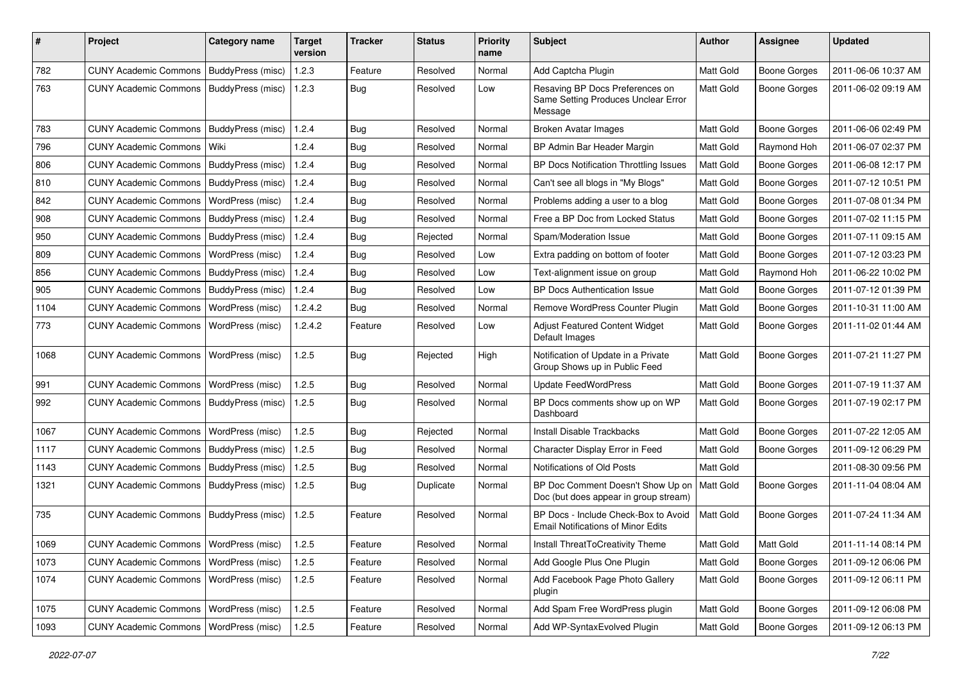| #    | Project                                   | <b>Category name</b>     | Target<br>version | <b>Tracker</b> | <b>Status</b> | <b>Priority</b><br>name | Subject                                                                           | <b>Author</b> | <b>Assignee</b>     | <b>Updated</b>      |
|------|-------------------------------------------|--------------------------|-------------------|----------------|---------------|-------------------------|-----------------------------------------------------------------------------------|---------------|---------------------|---------------------|
| 782  | <b>CUNY Academic Commons</b>              | BuddyPress (misc)        | 1.2.3             | Feature        | Resolved      | Normal                  | Add Captcha Plugin                                                                | Matt Gold     | <b>Boone Gorges</b> | 2011-06-06 10:37 AM |
| 763  | <b>CUNY Academic Commons</b>              | BuddyPress (misc)        | 1.2.3             | Bug            | Resolved      | Low                     | Resaving BP Docs Preferences on<br>Same Setting Produces Unclear Error<br>Message | Matt Gold     | <b>Boone Gorges</b> | 2011-06-02 09:19 AM |
| 783  | <b>CUNY Academic Commons</b>              | BuddyPress (misc)        | 1.2.4             | Bug            | Resolved      | Normal                  | <b>Broken Avatar Images</b>                                                       | Matt Gold     | <b>Boone Gorges</b> | 2011-06-06 02:49 PM |
| 796  | <b>CUNY Academic Commons</b>              | Wiki                     | 1.2.4             | Bug            | Resolved      | Normal                  | BP Admin Bar Header Margin                                                        | Matt Gold     | Raymond Hoh         | 2011-06-07 02:37 PM |
| 806  | <b>CUNY Academic Commons</b>              | <b>BuddyPress</b> (misc) | 1.2.4             | Bug            | Resolved      | Normal                  | BP Docs Notification Throttling Issues                                            | Matt Gold     | <b>Boone Gorges</b> | 2011-06-08 12:17 PM |
| 810  | <b>CUNY Academic Commons</b>              | BuddyPress (misc)        | 1.2.4             | Bug            | Resolved      | Normal                  | Can't see all blogs in "My Blogs"                                                 | Matt Gold     | <b>Boone Gorges</b> | 2011-07-12 10:51 PM |
| 842  | <b>CUNY Academic Commons</b>              | WordPress (misc)         | 1.2.4             | Bug            | Resolved      | Normal                  | Problems adding a user to a blog                                                  | Matt Gold     | <b>Boone Gorges</b> | 2011-07-08 01:34 PM |
| 908  | <b>CUNY Academic Commons</b>              | BuddyPress (misc)        | 1.2.4             | Bug            | Resolved      | Normal                  | Free a BP Doc from Locked Status                                                  | Matt Gold     | <b>Boone Gorges</b> | 2011-07-02 11:15 PM |
| 950  | <b>CUNY Academic Commons</b>              | BuddyPress (misc)        | 1.2.4             | Bug            | Rejected      | Normal                  | Spam/Moderation Issue                                                             | Matt Gold     | <b>Boone Gorges</b> | 2011-07-11 09:15 AM |
| 809  | <b>CUNY Academic Commons</b>              | WordPress (misc)         | 1.2.4             | Bug            | Resolved      | Low                     | Extra padding on bottom of footer                                                 | Matt Gold     | <b>Boone Gorges</b> | 2011-07-12 03:23 PM |
| 856  | <b>CUNY Academic Commons</b>              | BuddyPress (misc)        | 1.2.4             | <b>Bug</b>     | Resolved      | Low                     | Text-alignment issue on group                                                     | Matt Gold     | Raymond Hoh         | 2011-06-22 10:02 PM |
| 905  | <b>CUNY Academic Commons</b>              | BuddyPress (misc)        | 1.2.4             | Bug            | Resolved      | Low                     | <b>BP Docs Authentication Issue</b>                                               | Matt Gold     | <b>Boone Gorges</b> | 2011-07-12 01:39 PM |
| 1104 | <b>CUNY Academic Commons</b>              | WordPress (misc)         | 1.2.4.2           | Bug            | Resolved      | Normal                  | Remove WordPress Counter Plugin                                                   | Matt Gold     | <b>Boone Gorges</b> | 2011-10-31 11:00 AM |
| 773  | <b>CUNY Academic Commons</b>              | WordPress (misc)         | 1.2.4.2           | Feature        | Resolved      | Low                     | <b>Adjust Featured Content Widget</b><br>Default Images                           | Matt Gold     | <b>Boone Gorges</b> | 2011-11-02 01:44 AM |
| 1068 | <b>CUNY Academic Commons</b>              | WordPress (misc)         | 1.2.5             | Bug            | Rejected      | High                    | Notification of Update in a Private<br>Group Shows up in Public Feed              | Matt Gold     | <b>Boone Gorges</b> | 2011-07-21 11:27 PM |
| 991  | <b>CUNY Academic Commons</b>              | WordPress (misc)         | 1.2.5             | Bug            | Resolved      | Normal                  | <b>Update FeedWordPress</b>                                                       | Matt Gold     | <b>Boone Gorges</b> | 2011-07-19 11:37 AM |
| 992  | <b>CUNY Academic Commons</b>              | BuddyPress (misc)        | 1.2.5             | <b>Bug</b>     | Resolved      | Normal                  | BP Docs comments show up on WP<br>Dashboard                                       | Matt Gold     | <b>Boone Gorges</b> | 2011-07-19 02:17 PM |
| 1067 | <b>CUNY Academic Commons</b>              | WordPress (misc)         | 1.2.5             | Bug            | Rejected      | Normal                  | <b>Install Disable Trackbacks</b>                                                 | Matt Gold     | <b>Boone Gorges</b> | 2011-07-22 12:05 AM |
| 1117 | <b>CUNY Academic Commons</b>              | BuddyPress (misc)        | 1.2.5             | Bug            | Resolved      | Normal                  | Character Display Error in Feed                                                   | Matt Gold     | <b>Boone Gorges</b> | 2011-09-12 06:29 PM |
| 1143 | <b>CUNY Academic Commons</b>              | BuddyPress (misc)        | 1.2.5             | Bug            | Resolved      | Normal                  | Notifications of Old Posts                                                        | Matt Gold     |                     | 2011-08-30 09:56 PM |
| 1321 | <b>CUNY Academic Commons</b>              | BuddyPress (misc)        | 1.2.5             | Bug            | Duplicate     | Normal                  | BP Doc Comment Doesn't Show Up on<br>Doc (but does appear in group stream)        | Matt Gold     | <b>Boone Gorges</b> | 2011-11-04 08:04 AM |
| 735  | CUNY Academic Commons   BuddyPress (misc) |                          | 1.2.5             | Feature        | Resolved      | Normal                  | BP Docs - Include Check-Box to Avoid<br><b>Email Notifications of Minor Edits</b> | Matt Gold     | <b>Boone Gorges</b> | 2011-07-24 11:34 AM |
| 1069 | CUNY Academic Commons   WordPress (misc)  |                          | 1.2.5             | Feature        | Resolved      | Normal                  | Install ThreatToCreativity Theme                                                  | Matt Gold     | Matt Gold           | 2011-11-14 08:14 PM |
| 1073 | <b>CUNY Academic Commons</b>              | WordPress (misc)         | 1.2.5             | Feature        | Resolved      | Normal                  | Add Google Plus One Plugin                                                        | Matt Gold     | Boone Gorges        | 2011-09-12 06:06 PM |
| 1074 | <b>CUNY Academic Commons</b>              | WordPress (misc)         | 1.2.5             | Feature        | Resolved      | Normal                  | Add Facebook Page Photo Gallery<br>plugin                                         | Matt Gold     | Boone Gorges        | 2011-09-12 06:11 PM |
| 1075 | <b>CUNY Academic Commons</b>              | WordPress (misc)         | 1.2.5             | Feature        | Resolved      | Normal                  | Add Spam Free WordPress plugin                                                    | Matt Gold     | <b>Boone Gorges</b> | 2011-09-12 06:08 PM |
| 1093 | <b>CUNY Academic Commons</b>              | WordPress (misc)         | 1.2.5             | Feature        | Resolved      | Normal                  | Add WP-SyntaxEvolved Plugin                                                       | Matt Gold     | Boone Gorges        | 2011-09-12 06:13 PM |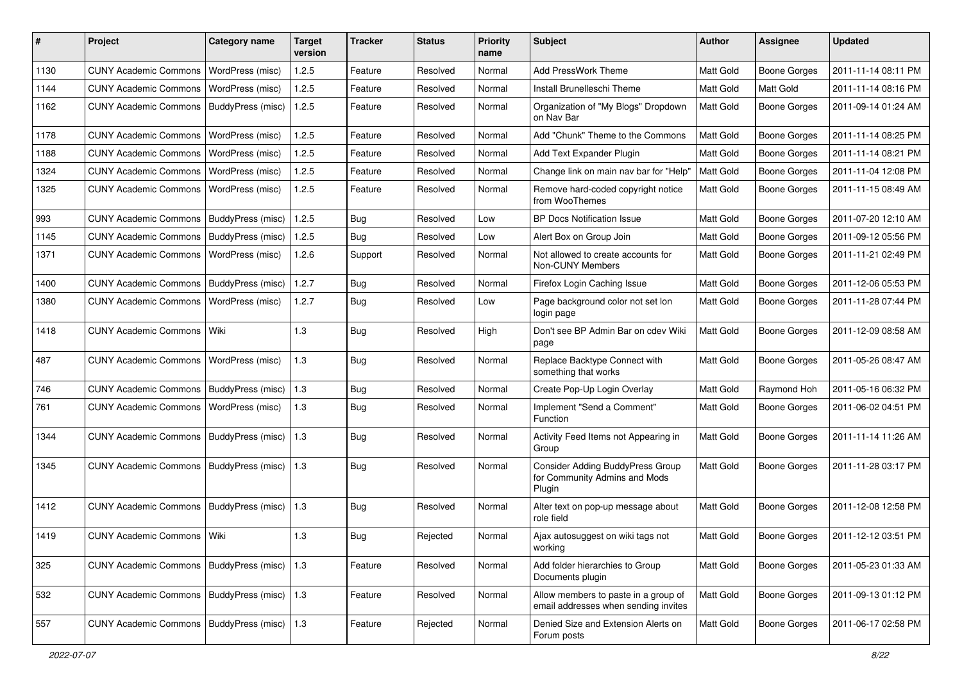| #    | Project                                   | Category name     | <b>Target</b><br>version | <b>Tracker</b> | <b>Status</b> | <b>Priority</b><br>name | <b>Subject</b>                                                               | Author           | <b>Assignee</b>     | <b>Updated</b>      |
|------|-------------------------------------------|-------------------|--------------------------|----------------|---------------|-------------------------|------------------------------------------------------------------------------|------------------|---------------------|---------------------|
| 1130 | <b>CUNY Academic Commons</b>              | WordPress (misc)  | 1.2.5                    | Feature        | Resolved      | Normal                  | <b>Add PressWork Theme</b>                                                   | Matt Gold        | <b>Boone Gorges</b> | 2011-11-14 08:11 PM |
| 1144 | <b>CUNY Academic Commons</b>              | WordPress (misc)  | 1.2.5                    | Feature        | Resolved      | Normal                  | Install Brunelleschi Theme                                                   | Matt Gold        | Matt Gold           | 2011-11-14 08:16 PM |
| 1162 | <b>CUNY Academic Commons</b>              | BuddyPress (misc) | 1.2.5                    | Feature        | Resolved      | Normal                  | Organization of "My Blogs" Dropdown<br>on Nav Bar                            | Matt Gold        | Boone Gorges        | 2011-09-14 01:24 AM |
| 1178 | <b>CUNY Academic Commons</b>              | WordPress (misc)  | 1.2.5                    | Feature        | Resolved      | Normal                  | Add "Chunk" Theme to the Commons                                             | Matt Gold        | <b>Boone Gorges</b> | 2011-11-14 08:25 PM |
| 1188 | <b>CUNY Academic Commons</b>              | WordPress (misc)  | 1.2.5                    | Feature        | Resolved      | Normal                  | Add Text Expander Plugin                                                     | Matt Gold        | <b>Boone Gorges</b> | 2011-11-14 08:21 PM |
| 1324 | <b>CUNY Academic Commons</b>              | WordPress (misc)  | 1.2.5                    | Feature        | Resolved      | Normal                  | Change link on main nav bar for "Help"                                       | Matt Gold        | <b>Boone Gorges</b> | 2011-11-04 12:08 PM |
| 1325 | <b>CUNY Academic Commons</b>              | WordPress (misc)  | 1.2.5                    | Feature        | Resolved      | Normal                  | Remove hard-coded copyright notice<br>from WooThemes                         | Matt Gold        | Boone Gorges        | 2011-11-15 08:49 AM |
| 993  | <b>CUNY Academic Commons</b>              | BuddyPress (misc) | 1.2.5                    | Bug            | Resolved      | Low                     | <b>BP Docs Notification Issue</b>                                            | Matt Gold        | <b>Boone Gorges</b> | 2011-07-20 12:10 AM |
| 1145 | <b>CUNY Academic Commons</b>              | BuddyPress (misc) | 1.2.5                    | Bug            | Resolved      | Low                     | Alert Box on Group Join                                                      | Matt Gold        | <b>Boone Gorges</b> | 2011-09-12 05:56 PM |
| 1371 | <b>CUNY Academic Commons</b>              | WordPress (misc)  | 1.2.6                    | Support        | Resolved      | Normal                  | Not allowed to create accounts for<br>Non-CUNY Members                       | Matt Gold        | Boone Gorges        | 2011-11-21 02:49 PM |
| 1400 | <b>CUNY Academic Commons</b>              | BuddyPress (misc) | 1.2.7                    | Bug            | Resolved      | Normal                  | Firefox Login Caching Issue                                                  | Matt Gold        | <b>Boone Gorges</b> | 2011-12-06 05:53 PM |
| 1380 | <b>CUNY Academic Commons</b>              | WordPress (misc)  | 1.2.7                    | Bug            | Resolved      | Low                     | Page background color not set lon<br>login page                              | <b>Matt Gold</b> | <b>Boone Gorges</b> | 2011-11-28 07:44 PM |
| 1418 | <b>CUNY Academic Commons</b>              | Wiki              | 1.3                      | Bug            | Resolved      | High                    | Don't see BP Admin Bar on cdev Wiki<br>page                                  | Matt Gold        | <b>Boone Gorges</b> | 2011-12-09 08:58 AM |
| 487  | <b>CUNY Academic Commons</b>              | WordPress (misc)  | 1.3                      | Bug            | Resolved      | Normal                  | Replace Backtype Connect with<br>something that works                        | Matt Gold        | <b>Boone Gorges</b> | 2011-05-26 08:47 AM |
| 746  | <b>CUNY Academic Commons</b>              | BuddyPress (misc) | 1.3                      | Bug            | Resolved      | Normal                  | Create Pop-Up Login Overlay                                                  | Matt Gold        | Raymond Hoh         | 2011-05-16 06:32 PM |
| 761  | <b>CUNY Academic Commons</b>              | WordPress (misc)  | 1.3                      | Bug            | Resolved      | Normal                  | Implement "Send a Comment"<br>Function                                       | <b>Matt Gold</b> | <b>Boone Gorges</b> | 2011-06-02 04:51 PM |
| 1344 | <b>CUNY Academic Commons</b>              | BuddyPress (misc) | 1.3                      | Bug            | Resolved      | Normal                  | Activity Feed Items not Appearing in<br>Group                                | Matt Gold        | Boone Gorges        | 2011-11-14 11:26 AM |
| 1345 | CUNY Academic Commons   BuddyPress (misc) |                   | 1.3                      | Bug            | Resolved      | Normal                  | Consider Adding BuddyPress Group<br>for Community Admins and Mods<br>Plugin  | Matt Gold        | <b>Boone Gorges</b> | 2011-11-28 03:17 PM |
| 1412 | <b>CUNY Academic Commons</b>              | BuddyPress (misc) | 1.3                      | Bug            | Resolved      | Normal                  | Alter text on pop-up message about<br>role field                             | Matt Gold        | Boone Gorges        | 2011-12-08 12:58 PM |
| 1419 | CUNY Academic Commons   Wiki              |                   | 1.3                      | Bug            | Rejected      | Normal                  | Ajax autosuggest on wiki tags not<br>working                                 | Matt Gold        | <b>Boone Gorges</b> | 2011-12-12 03:51 PM |
| 325  | CUNY Academic Commons   BuddyPress (misc) |                   | $\vert$ 1.3              | Feature        | Resolved      | Normal                  | Add folder hierarchies to Group<br>Documents plugin                          | Matt Gold        | Boone Gorges        | 2011-05-23 01:33 AM |
| 532  | <b>CUNY Academic Commons</b>              | BuddyPress (misc) | $\vert$ 1.3              | Feature        | Resolved      | Normal                  | Allow members to paste in a group of<br>email addresses when sending invites | Matt Gold        | Boone Gorges        | 2011-09-13 01:12 PM |
| 557  | CUNY Academic Commons   BuddyPress (misc) |                   | $\vert$ 1.3              | Feature        | Rejected      | Normal                  | Denied Size and Extension Alerts on<br>Forum posts                           | Matt Gold        | Boone Gorges        | 2011-06-17 02:58 PM |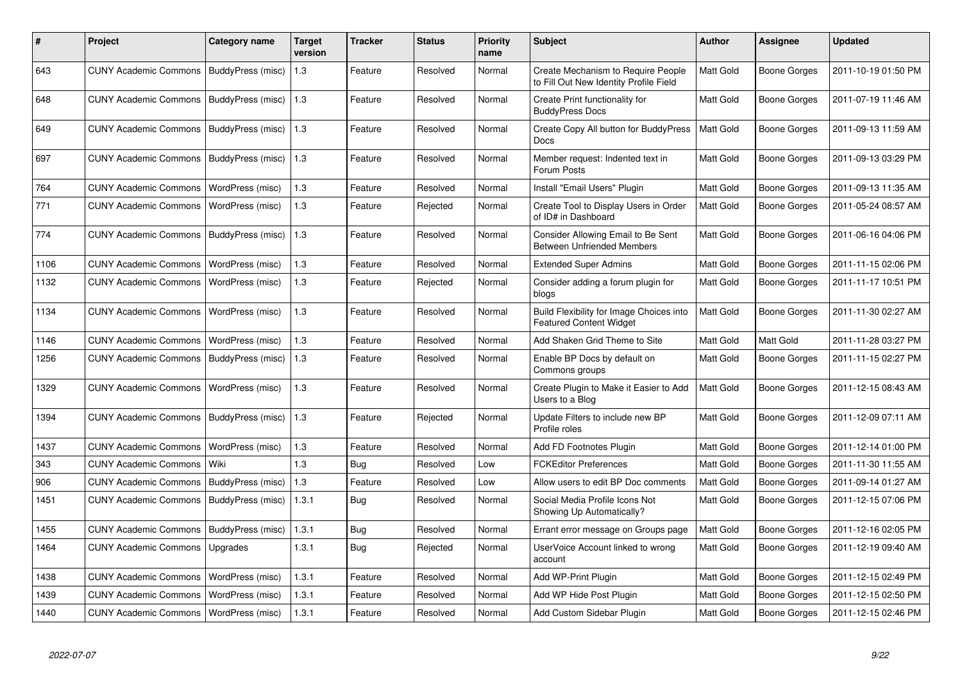| #    | Project                                   | Category name            | <b>Target</b><br>version | <b>Tracker</b> | <b>Status</b> | <b>Priority</b><br>name | <b>Subject</b>                                                               | <b>Author</b>    | <b>Assignee</b> | <b>Updated</b>      |
|------|-------------------------------------------|--------------------------|--------------------------|----------------|---------------|-------------------------|------------------------------------------------------------------------------|------------------|-----------------|---------------------|
| 643  | CUNY Academic Commons   BuddyPress (misc) |                          | 1.3                      | Feature        | Resolved      | Normal                  | Create Mechanism to Require People<br>to Fill Out New Identity Profile Field | Matt Gold        | Boone Gorges    | 2011-10-19 01:50 PM |
| 648  | CUNY Academic Commons   BuddyPress (misc) |                          | $\vert$ 1.3              | Feature        | Resolved      | Normal                  | Create Print functionality for<br><b>BuddyPress Docs</b>                     | <b>Matt Gold</b> | Boone Gorges    | 2011-07-19 11:46 AM |
| 649  | <b>CUNY Academic Commons</b>              | BuddyPress (misc)        | 1.3                      | Feature        | Resolved      | Normal                  | Create Copy All button for BuddyPress<br><b>Docs</b>                         | <b>Matt Gold</b> | Boone Gorges    | 2011-09-13 11:59 AM |
| 697  | <b>CUNY Academic Commons</b>              | BuddyPress (misc)        | 1.3                      | Feature        | Resolved      | Normal                  | Member request: Indented text in<br>Forum Posts                              | Matt Gold        | Boone Gorges    | 2011-09-13 03:29 PM |
| 764  | <b>CUNY Academic Commons</b>              | WordPress (misc)         | 1.3                      | Feature        | Resolved      | Normal                  | Install "Email Users" Plugin                                                 | <b>Matt Gold</b> | Boone Gorges    | 2011-09-13 11:35 AM |
| 771  | <b>CUNY Academic Commons</b>              | WordPress (misc)         | 1.3                      | Feature        | Rejected      | Normal                  | Create Tool to Display Users in Order<br>of ID# in Dashboard                 | <b>Matt Gold</b> | Boone Gorges    | 2011-05-24 08:57 AM |
| 774  | <b>CUNY Academic Commons</b>              | <b>BuddyPress</b> (misc) | 1.3                      | Feature        | Resolved      | Normal                  | Consider Allowing Email to Be Sent<br><b>Between Unfriended Members</b>      | <b>Matt Gold</b> | Boone Gorges    | 2011-06-16 04:06 PM |
| 1106 | <b>CUNY Academic Commons</b>              | WordPress (misc)         | 1.3                      | Feature        | Resolved      | Normal                  | <b>Extended Super Admins</b>                                                 | Matt Gold        | Boone Gorges    | 2011-11-15 02:06 PM |
| 1132 | <b>CUNY Academic Commons</b>              | WordPress (misc)         | 1.3                      | Feature        | Rejected      | Normal                  | Consider adding a forum plugin for<br>blogs                                  | <b>Matt Gold</b> | Boone Gorges    | 2011-11-17 10:51 PM |
| 1134 | <b>CUNY Academic Commons</b>              | WordPress (misc)         | 1.3                      | Feature        | Resolved      | Normal                  | Build Flexibility for Image Choices into<br><b>Featured Content Widget</b>   | Matt Gold        | Boone Gorges    | 2011-11-30 02:27 AM |
| 1146 | <b>CUNY Academic Commons</b>              | WordPress (misc)         | 1.3                      | Feature        | Resolved      | Normal                  | Add Shaken Grid Theme to Site                                                | <b>Matt Gold</b> | Matt Gold       | 2011-11-28 03:27 PM |
| 1256 | <b>CUNY Academic Commons</b>              | BuddyPress (misc)        | 1.3                      | Feature        | Resolved      | Normal                  | Enable BP Docs by default on<br>Commons groups                               | <b>Matt Gold</b> | Boone Gorges    | 2011-11-15 02:27 PM |
| 1329 | <b>CUNY Academic Commons</b>              | WordPress (misc)         | 1.3                      | Feature        | Resolved      | Normal                  | Create Plugin to Make it Easier to Add<br>Users to a Blog                    | Matt Gold        | Boone Gorges    | 2011-12-15 08:43 AM |
| 1394 | CUNY Academic Commons   BuddyPress (misc) |                          | 1.3                      | Feature        | Rejected      | Normal                  | Update Filters to include new BP<br>Profile roles                            | Matt Gold        | Boone Gorges    | 2011-12-09 07:11 AM |
| 1437 | <b>CUNY Academic Commons</b>              | WordPress (misc)         | 1.3                      | Feature        | Resolved      | Normal                  | Add FD Footnotes Plugin                                                      | <b>Matt Gold</b> | Boone Gorges    | 2011-12-14 01:00 PM |
| 343  | <b>CUNY Academic Commons</b>              | Wiki                     | 1.3                      | Bug            | Resolved      | Low                     | <b>FCKEditor Preferences</b>                                                 | <b>Matt Gold</b> | Boone Gorges    | 2011-11-30 11:55 AM |
| 906  | <b>CUNY Academic Commons</b>              | BuddyPress (misc)        | 1.3                      | Feature        | Resolved      | Low                     | Allow users to edit BP Doc comments                                          | Matt Gold        | Boone Gorges    | 2011-09-14 01:27 AM |
| 1451 | <b>CUNY Academic Commons</b>              | BuddyPress (misc)        | 1.3.1                    | Bug            | Resolved      | Normal                  | Social Media Profile Icons Not<br>Showing Up Automatically?                  | <b>Matt Gold</b> | Boone Gorges    | 2011-12-15 07:06 PM |
| 1455 | <b>CUNY Academic Commons</b>              | BuddyPress (misc)        | 1.3.1                    | <b>Bug</b>     | Resolved      | Normal                  | Errant error message on Groups page                                          | Matt Gold        | Boone Gorges    | 2011-12-16 02:05 PM |
| 1464 | <b>CUNY Academic Commons</b>              | Upgrades                 | 1.3.1                    | Bug            | Rejected      | Normal                  | UserVoice Account linked to wrong<br>account                                 | Matt Gold        | Boone Gorges    | 2011-12-19 09:40 AM |
| 1438 | <b>CUNY Academic Commons</b>              | WordPress (misc)         | 1.3.1                    | Feature        | Resolved      | Normal                  | Add WP-Print Plugin                                                          | Matt Gold        | Boone Gorges    | 2011-12-15 02:49 PM |
| 1439 | <b>CUNY Academic Commons</b>              | WordPress (misc)         | 1.3.1                    | Feature        | Resolved      | Normal                  | Add WP Hide Post Plugin                                                      | <b>Matt Gold</b> | Boone Gorges    | 2011-12-15 02:50 PM |
| 1440 | CUNY Academic Commons   WordPress (misc)  |                          | 1.3.1                    | Feature        | Resolved      | Normal                  | Add Custom Sidebar Plugin                                                    | Matt Gold        | Boone Gorges    | 2011-12-15 02:46 PM |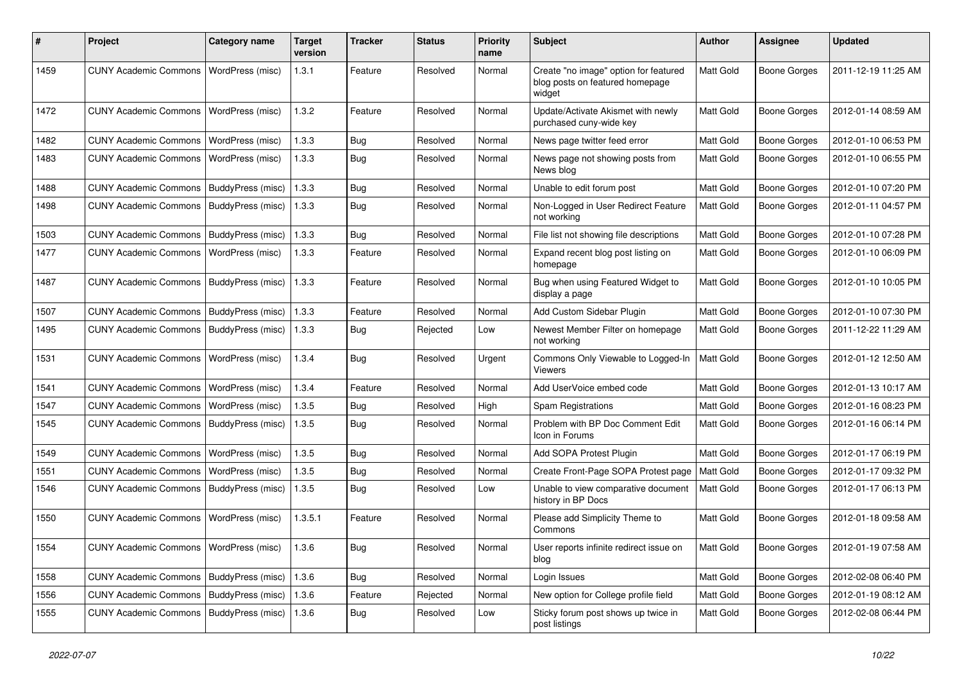| #    | Project                                   | Category name     | <b>Target</b><br>version | <b>Tracker</b> | <b>Status</b> | <b>Priority</b><br>name | Subject                                                                            | Author           | Assignee            | <b>Updated</b>      |
|------|-------------------------------------------|-------------------|--------------------------|----------------|---------------|-------------------------|------------------------------------------------------------------------------------|------------------|---------------------|---------------------|
| 1459 | <b>CUNY Academic Commons</b>              | WordPress (misc)  | 1.3.1                    | Feature        | Resolved      | Normal                  | Create "no image" option for featured<br>blog posts on featured homepage<br>widget | Matt Gold        | Boone Gorges        | 2011-12-19 11:25 AM |
| 1472 | <b>CUNY Academic Commons</b>              | WordPress (misc)  | 1.3.2                    | Feature        | Resolved      | Normal                  | Update/Activate Akismet with newly<br>purchased cuny-wide key                      | Matt Gold        | <b>Boone Gorges</b> | 2012-01-14 08:59 AM |
| 1482 | <b>CUNY Academic Commons</b>              | WordPress (misc)  | 1.3.3                    | Bug            | Resolved      | Normal                  | News page twitter feed error                                                       | Matt Gold        | <b>Boone Gorges</b> | 2012-01-10 06:53 PM |
| 1483 | <b>CUNY Academic Commons</b>              | WordPress (misc)  | 1.3.3                    | Bug            | Resolved      | Normal                  | News page not showing posts from<br>News blog                                      | <b>Matt Gold</b> | <b>Boone Gorges</b> | 2012-01-10 06:55 PM |
| 1488 | <b>CUNY Academic Commons</b>              | BuddyPress (misc) | 1.3.3                    | Bug            | Resolved      | Normal                  | Unable to edit forum post                                                          | <b>Matt Gold</b> | <b>Boone Gorges</b> | 2012-01-10 07:20 PM |
| 1498 | <b>CUNY Academic Commons</b>              | BuddyPress (misc) | 1.3.3                    | Bug            | Resolved      | Normal                  | Non-Logged in User Redirect Feature<br>not working                                 | <b>Matt Gold</b> | Boone Gorges        | 2012-01-11 04:57 PM |
| 1503 | <b>CUNY Academic Commons</b>              | BuddyPress (misc) | 1.3.3                    | Bug            | Resolved      | Normal                  | File list not showing file descriptions                                            | Matt Gold        | <b>Boone Gorges</b> | 2012-01-10 07:28 PM |
| 1477 | <b>CUNY Academic Commons</b>              | WordPress (misc)  | 1.3.3                    | Feature        | Resolved      | Normal                  | Expand recent blog post listing on<br>homepage                                     | <b>Matt Gold</b> | <b>Boone Gorges</b> | 2012-01-10 06:09 PM |
| 1487 | <b>CUNY Academic Commons</b>              | BuddyPress (misc) | 1.3.3                    | Feature        | Resolved      | Normal                  | Bug when using Featured Widget to<br>display a page                                | Matt Gold        | Boone Gorges        | 2012-01-10 10:05 PM |
| 1507 | <b>CUNY Academic Commons</b>              | BuddyPress (misc) | 1.3.3                    | Feature        | Resolved      | Normal                  | Add Custom Sidebar Plugin                                                          | Matt Gold        | <b>Boone Gorges</b> | 2012-01-10 07:30 PM |
| 1495 | <b>CUNY Academic Commons</b>              | BuddyPress (misc) | 1.3.3                    | Bug            | Rejected      | Low                     | Newest Member Filter on homepage<br>not working                                    | <b>Matt Gold</b> | Boone Gorges        | 2011-12-22 11:29 AM |
| 1531 | <b>CUNY Academic Commons</b>              | WordPress (misc)  | 1.3.4                    | Bug            | Resolved      | Urgent                  | Commons Only Viewable to Logged-In<br><b>Viewers</b>                               | <b>Matt Gold</b> | Boone Gorges        | 2012-01-12 12:50 AM |
| 1541 | <b>CUNY Academic Commons</b>              | WordPress (misc)  | 1.3.4                    | Feature        | Resolved      | Normal                  | Add UserVoice embed code                                                           | Matt Gold        | <b>Boone Gorges</b> | 2012-01-13 10:17 AM |
| 1547 | <b>CUNY Academic Commons</b>              | WordPress (misc)  | 1.3.5                    | Bug            | Resolved      | High                    | Spam Registrations                                                                 | Matt Gold        | <b>Boone Gorges</b> | 2012-01-16 08:23 PM |
| 1545 | <b>CUNY Academic Commons</b>              | BuddyPress (misc) | 1.3.5                    | Bug            | Resolved      | Normal                  | Problem with BP Doc Comment Edit<br>Icon in Forums                                 | <b>Matt Gold</b> | Boone Gorges        | 2012-01-16 06:14 PM |
| 1549 | <b>CUNY Academic Commons</b>              | WordPress (misc)  | 1.3.5                    | Bug            | Resolved      | Normal                  | Add SOPA Protest Plugin                                                            | Matt Gold        | <b>Boone Gorges</b> | 2012-01-17 06:19 PM |
| 1551 | <b>CUNY Academic Commons</b>              | WordPress (misc)  | 1.3.5                    | Bug            | Resolved      | Normal                  | Create Front-Page SOPA Protest page                                                | Matt Gold        | <b>Boone Gorges</b> | 2012-01-17 09:32 PM |
| 1546 | CUNY Academic Commons   BuddyPress (misc) |                   | 1.3.5                    | <b>Bug</b>     | Resolved      | Low                     | Unable to view comparative document<br>history in BP Docs                          | <b>Matt Gold</b> | <b>Boone Gorges</b> | 2012-01-17 06:13 PM |
| 1550 | <b>CUNY Academic Commons</b>              | WordPress (misc)  | 1.3.5.1                  | Feature        | Resolved      | Normal                  | Please add Simplicity Theme to<br>Commons                                          | Matt Gold        | Boone Gorges        | 2012-01-18 09:58 AM |
| 1554 | CUNY Academic Commons   WordPress (misc)  |                   | 1.3.6                    | <b>Bug</b>     | Resolved      | Normal                  | User reports infinite redirect issue on<br>blog                                    | Matt Gold        | Boone Gorges        | 2012-01-19 07:58 AM |
| 1558 | CUNY Academic Commons   BuddyPress (misc) |                   | 1.3.6                    | Bug            | Resolved      | Normal                  | Login Issues                                                                       | Matt Gold        | Boone Gorges        | 2012-02-08 06:40 PM |
| 1556 | <b>CUNY Academic Commons</b>              | BuddyPress (misc) | 1.3.6                    | Feature        | Rejected      | Normal                  | New option for College profile field                                               | Matt Gold        | Boone Gorges        | 2012-01-19 08:12 AM |
| 1555 | CUNY Academic Commons   BuddyPress (misc) |                   | 1.3.6                    | <b>Bug</b>     | Resolved      | Low                     | Sticky forum post shows up twice in<br>post listings                               | Matt Gold        | Boone Gorges        | 2012-02-08 06:44 PM |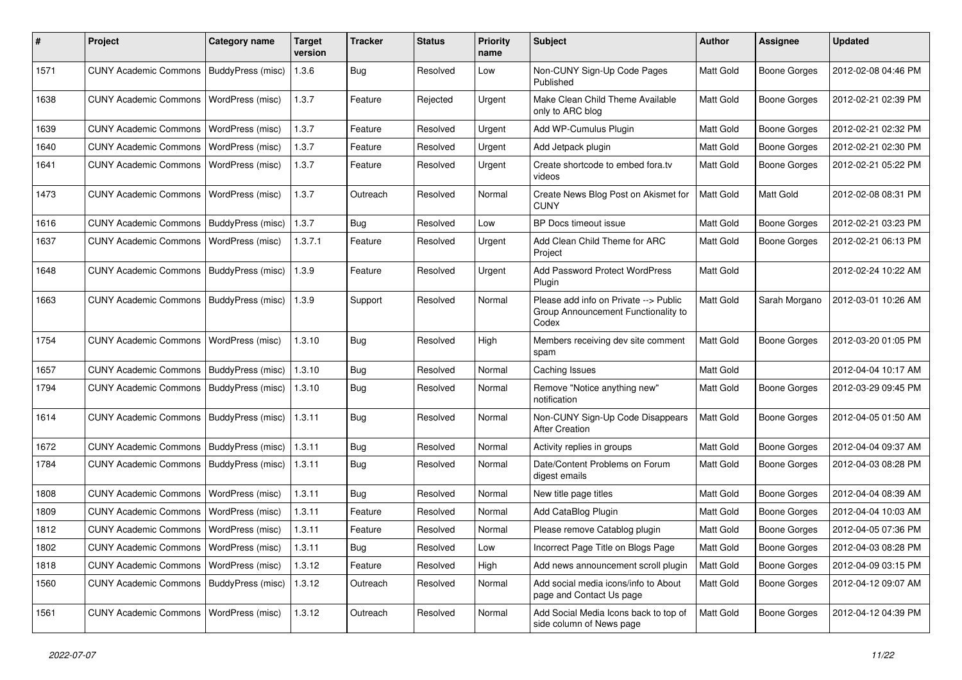| ∦    | Project                                   | <b>Category name</b>    | <b>Target</b><br>version | <b>Tracker</b> | <b>Status</b> | <b>Priority</b><br>name | <b>Subject</b>                                                                        | Author    | <b>Assignee</b>     | <b>Updated</b>      |
|------|-------------------------------------------|-------------------------|--------------------------|----------------|---------------|-------------------------|---------------------------------------------------------------------------------------|-----------|---------------------|---------------------|
| 1571 | <b>CUNY Academic Commons</b>              | BuddyPress (misc)       | 1.3.6                    | Bug            | Resolved      | Low                     | Non-CUNY Sign-Up Code Pages<br>Published                                              | Matt Gold | <b>Boone Gorges</b> | 2012-02-08 04:46 PM |
| 1638 | <b>CUNY Academic Commons</b>              | WordPress (misc)        | 1.3.7                    | Feature        | Rejected      | Urgent                  | Make Clean Child Theme Available<br>only to ARC blog                                  | Matt Gold | <b>Boone Gorges</b> | 2012-02-21 02:39 PM |
| 1639 | <b>CUNY Academic Commons</b>              | WordPress (misc)        | 1.3.7                    | Feature        | Resolved      | Urgent                  | Add WP-Cumulus Plugin                                                                 | Matt Gold | <b>Boone Gorges</b> | 2012-02-21 02:32 PM |
| 1640 | <b>CUNY Academic Commons</b>              | WordPress (misc)        | 1.3.7                    | Feature        | Resolved      | Urgent                  | Add Jetpack plugin                                                                    | Matt Gold | <b>Boone Gorges</b> | 2012-02-21 02:30 PM |
| 1641 | <b>CUNY Academic Commons</b>              | WordPress (misc)        | 1.3.7                    | Feature        | Resolved      | Urgent                  | Create shortcode to embed fora.tv<br>videos                                           | Matt Gold | <b>Boone Gorges</b> | 2012-02-21 05:22 PM |
| 1473 | <b>CUNY Academic Commons</b>              | <b>WordPress (misc)</b> | 1.3.7                    | Outreach       | Resolved      | Normal                  | Create News Blog Post on Akismet for<br><b>CUNY</b>                                   | Matt Gold | Matt Gold           | 2012-02-08 08:31 PM |
| 1616 | <b>CUNY Academic Commons</b>              | BuddyPress (misc)       | 1.3.7                    | <b>Bug</b>     | Resolved      | Low                     | BP Docs timeout issue                                                                 | Matt Gold | <b>Boone Gorges</b> | 2012-02-21 03:23 PM |
| 1637 | <b>CUNY Academic Commons</b>              | WordPress (misc)        | 1.3.7.1                  | Feature        | Resolved      | Urgent                  | Add Clean Child Theme for ARC<br>Project                                              | Matt Gold | <b>Boone Gorges</b> | 2012-02-21 06:13 PM |
| 1648 | CUNY Academic Commons   BuddyPress (misc) |                         | 1.3.9                    | Feature        | Resolved      | Urgent                  | Add Password Protect WordPress<br>Plugin                                              | Matt Gold |                     | 2012-02-24 10:22 AM |
| 1663 | <b>CUNY Academic Commons</b>              | BuddyPress (misc)       | 1.3.9                    | Support        | Resolved      | Normal                  | Please add info on Private --> Public<br>Group Announcement Functionality to<br>Codex | Matt Gold | Sarah Morgano       | 2012-03-01 10:26 AM |
| 1754 | <b>CUNY Academic Commons</b>              | WordPress (misc)        | 1.3.10                   | <b>Bug</b>     | Resolved      | High                    | Members receiving dev site comment<br>spam                                            | Matt Gold | <b>Boone Gorges</b> | 2012-03-20 01:05 PM |
| 1657 | <b>CUNY Academic Commons</b>              | BuddyPress (misc)       | 1.3.10                   | Bug            | Resolved      | Normal                  | Caching Issues                                                                        | Matt Gold |                     | 2012-04-04 10:17 AM |
| 1794 | <b>CUNY Academic Commons</b>              | BuddyPress (misc)       | 1.3.10                   | <b>Bug</b>     | Resolved      | Normal                  | Remove "Notice anything new"<br>notification                                          | Matt Gold | <b>Boone Gorges</b> | 2012-03-29 09:45 PM |
| 1614 | <b>CUNY Academic Commons</b>              | BuddyPress (misc)       | 1.3.11                   | Bug            | Resolved      | Normal                  | Non-CUNY Sign-Up Code Disappears<br><b>After Creation</b>                             | Matt Gold | <b>Boone Gorges</b> | 2012-04-05 01:50 AM |
| 1672 | <b>CUNY Academic Commons</b>              | BuddyPress (misc)       | 1.3.11                   | Bug            | Resolved      | Normal                  | Activity replies in groups                                                            | Matt Gold | <b>Boone Gorges</b> | 2012-04-04 09:37 AM |
| 1784 | <b>CUNY Academic Commons</b>              | BuddyPress (misc)       | 1.3.11                   | Bug            | Resolved      | Normal                  | Date/Content Problems on Forum<br>digest emails                                       | Matt Gold | <b>Boone Gorges</b> | 2012-04-03 08:28 PM |
| 1808 | <b>CUNY Academic Commons</b>              | <b>WordPress (misc)</b> | 1.3.11                   | Bug            | Resolved      | Normal                  | New title page titles                                                                 | Matt Gold | <b>Boone Gorges</b> | 2012-04-04 08:39 AM |
| 1809 | <b>CUNY Academic Commons</b>              | WordPress (misc)        | 1.3.11                   | Feature        | Resolved      | Normal                  | Add CataBlog Plugin                                                                   | Matt Gold | <b>Boone Gorges</b> | 2012-04-04 10:03 AM |
| 1812 | <b>CUNY Academic Commons</b>              | <b>WordPress (misc)</b> | 1.3.11                   | Feature        | Resolved      | Normal                  | Please remove Catablog plugin                                                         | Matt Gold | <b>Boone Gorges</b> | 2012-04-05 07:36 PM |
| 1802 | CUNY Academic Commons   WordPress (misc)  |                         | 1.3.11                   | Bug            | Resolved      | Low                     | Incorrect Page Title on Blogs Page                                                    | Matt Gold | <b>Boone Gorges</b> | 2012-04-03 08:28 PM |
| 1818 | CUNY Academic Commons   WordPress (misc)  |                         | 1.3.12                   | Feature        | Resolved      | High                    | Add news announcement scroll plugin                                                   | Matt Gold | <b>Boone Gorges</b> | 2012-04-09 03:15 PM |
| 1560 | CUNY Academic Commons   BuddyPress (misc) |                         | 1.3.12                   | Outreach       | Resolved      | Normal                  | Add social media icons/info to About<br>page and Contact Us page                      | Matt Gold | <b>Boone Gorges</b> | 2012-04-12 09:07 AM |
| 1561 | CUNY Academic Commons   WordPress (misc)  |                         | 1.3.12                   | Outreach       | Resolved      | Normal                  | Add Social Media Icons back to top of<br>side column of News page                     | Matt Gold | <b>Boone Gorges</b> | 2012-04-12 04:39 PM |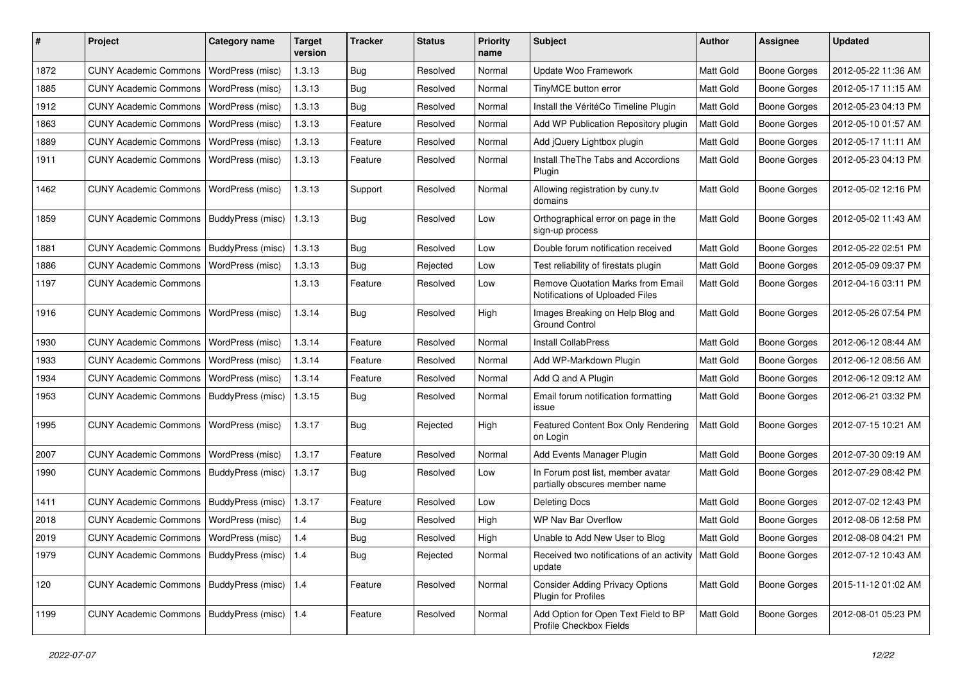| #    | Project                                   | <b>Category name</b> | <b>Target</b><br>version | <b>Tracker</b> | <b>Status</b> | <b>Priority</b><br>name | Subject                                                              | <b>Author</b>    | <b>Assignee</b>     | <b>Updated</b>      |
|------|-------------------------------------------|----------------------|--------------------------|----------------|---------------|-------------------------|----------------------------------------------------------------------|------------------|---------------------|---------------------|
| 1872 | <b>CUNY Academic Commons</b>              | WordPress (misc)     | 1.3.13                   | Bug            | Resolved      | Normal                  | Update Woo Framework                                                 | Matt Gold        | <b>Boone Gorges</b> | 2012-05-22 11:36 AM |
| 1885 | <b>CUNY Academic Commons</b>              | WordPress (misc)     | 1.3.13                   | Bug            | Resolved      | Normal                  | TinyMCE button error                                                 | <b>Matt Gold</b> | <b>Boone Gorges</b> | 2012-05-17 11:15 AM |
| 1912 | <b>CUNY Academic Commons</b>              | WordPress (misc)     | 1.3.13                   | Bug            | Resolved      | Normal                  | Install the VéritéCo Timeline Plugin                                 | Matt Gold        | <b>Boone Gorges</b> | 2012-05-23 04:13 PM |
| 1863 | <b>CUNY Academic Commons</b>              | WordPress (misc)     | 1.3.13                   | Feature        | Resolved      | Normal                  | Add WP Publication Repository plugin                                 | Matt Gold        | <b>Boone Gorges</b> | 2012-05-10 01:57 AM |
| 1889 | <b>CUNY Academic Commons</b>              | WordPress (misc)     | 1.3.13                   | Feature        | Resolved      | Normal                  | Add jQuery Lightbox plugin                                           | Matt Gold        | Boone Gorges        | 2012-05-17 11:11 AM |
| 1911 | <b>CUNY Academic Commons</b>              | WordPress (misc)     | 1.3.13                   | Feature        | Resolved      | Normal                  | Install TheThe Tabs and Accordions<br>Plugin                         | Matt Gold        | Boone Gorges        | 2012-05-23 04:13 PM |
| 1462 | <b>CUNY Academic Commons</b>              | WordPress (misc)     | 1.3.13                   | Support        | Resolved      | Normal                  | Allowing registration by cuny.tv<br>domains                          | Matt Gold        | Boone Gorges        | 2012-05-02 12:16 PM |
| 1859 | <b>CUNY Academic Commons</b>              | BuddyPress (misc)    | 1.3.13                   | Bug            | Resolved      | Low                     | Orthographical error on page in the<br>sign-up process               | Matt Gold        | <b>Boone Gorges</b> | 2012-05-02 11:43 AM |
| 1881 | <b>CUNY Academic Commons</b>              | BuddyPress (misc)    | 1.3.13                   | Bug            | Resolved      | Low                     | Double forum notification received                                   | Matt Gold        | <b>Boone Gorges</b> | 2012-05-22 02:51 PM |
| 1886 | <b>CUNY Academic Commons</b>              | WordPress (misc)     | 1.3.13                   | Bug            | Rejected      | Low                     | Test reliability of firestats plugin                                 | Matt Gold        | Boone Gorges        | 2012-05-09 09:37 PM |
| 1197 | <b>CUNY Academic Commons</b>              |                      | 1.3.13                   | Feature        | Resolved      | Low                     | Remove Quotation Marks from Email<br>Notifications of Uploaded Files | Matt Gold        | Boone Gorges        | 2012-04-16 03:11 PM |
| 1916 | <b>CUNY Academic Commons</b>              | WordPress (misc)     | 1.3.14                   | <b>Bug</b>     | Resolved      | High                    | Images Breaking on Help Blog and<br><b>Ground Control</b>            | Matt Gold        | Boone Gorges        | 2012-05-26 07:54 PM |
| 1930 | <b>CUNY Academic Commons</b>              | WordPress (misc)     | 1.3.14                   | Feature        | Resolved      | Normal                  | <b>Install CollabPress</b>                                           | Matt Gold        | Boone Gorges        | 2012-06-12 08:44 AM |
| 1933 | <b>CUNY Academic Commons</b>              | WordPress (misc)     | 1.3.14                   | Feature        | Resolved      | Normal                  | Add WP-Markdown Plugin                                               | Matt Gold        | <b>Boone Gorges</b> | 2012-06-12 08:56 AM |
| 1934 | <b>CUNY Academic Commons</b>              | WordPress (misc)     | 1.3.14                   | Feature        | Resolved      | Normal                  | Add Q and A Plugin                                                   | Matt Gold        | Boone Gorges        | 2012-06-12 09:12 AM |
| 1953 | <b>CUNY Academic Commons</b>              | BuddyPress (misc)    | 1.3.15                   | Bug            | Resolved      | Normal                  | Email forum notification formatting<br>issue                         | Matt Gold        | Boone Gorges        | 2012-06-21 03:32 PM |
| 1995 | <b>CUNY Academic Commons</b>              | WordPress (misc)     | 1.3.17                   | Bug            | Rejected      | High                    | Featured Content Box Only Rendering<br>on Login                      | Matt Gold        | Boone Gorges        | 2012-07-15 10:21 AM |
| 2007 | <b>CUNY Academic Commons</b>              | WordPress (misc)     | 1.3.17                   | Feature        | Resolved      | Normal                  | Add Events Manager Plugin                                            | Matt Gold        | <b>Boone Gorges</b> | 2012-07-30 09:19 AM |
| 1990 | <b>CUNY Academic Commons</b>              | BuddyPress (misc)    | 1.3.17                   | Bug            | Resolved      | Low                     | In Forum post list, member avatar<br>partially obscures member name  | Matt Gold        | Boone Gorges        | 2012-07-29 08:42 PM |
| 1411 | <b>CUNY Academic Commons</b>              | BuddyPress (misc)    | 1.3.17                   | Feature        | Resolved      | Low                     | <b>Deleting Docs</b>                                                 | Matt Gold        | Boone Gorges        | 2012-07-02 12:43 PM |
| 2018 | <b>CUNY Academic Commons</b>              | WordPress (misc)     | 1.4                      | <b>Bug</b>     | Resolved      | High                    | WP Nav Bar Overflow                                                  | Matt Gold        | Boone Gorges        | 2012-08-06 12:58 PM |
| 2019 | CUNY Academic Commons   WordPress (misc)  |                      | 1.4                      | <b>Bug</b>     | Resolved      | High                    | Unable to Add New User to Blog                                       | Matt Gold        | <b>Boone Gorges</b> | 2012-08-08 04:21 PM |
| 1979 | CUNY Academic Commons   BuddyPress (misc) |                      | 1.4                      | Bug            | Rejected      | Normal                  | Received two notifications of an activity   Matt Gold<br>update      |                  | <b>Boone Gorges</b> | 2012-07-12 10:43 AM |
| 120  | CUNY Academic Commons   BuddyPress (misc) |                      | 1.4                      | Feature        | Resolved      | Normal                  | <b>Consider Adding Privacy Options</b><br>Plugin for Profiles        | Matt Gold        | <b>Boone Gorges</b> | 2015-11-12 01:02 AM |
| 1199 | <b>CUNY Academic Commons</b>              | BuddyPress (misc)    | 1.4                      | Feature        | Resolved      | Normal                  | Add Option for Open Text Field to BP<br>Profile Checkbox Fields      | Matt Gold        | <b>Boone Gorges</b> | 2012-08-01 05:23 PM |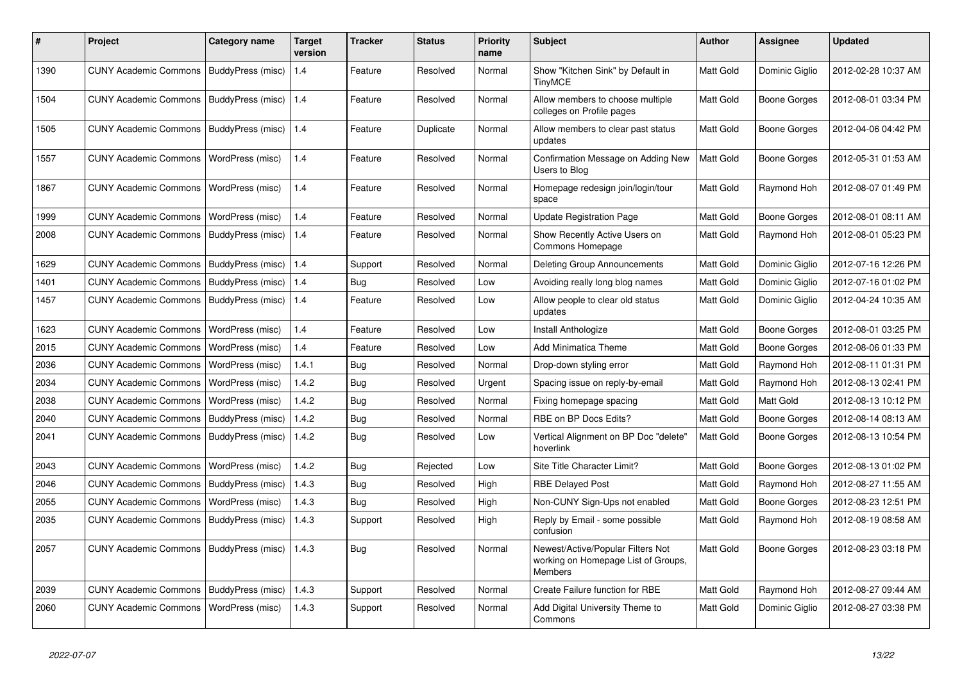| $\vert$ # | Project                                   | Category name            | <b>Target</b><br>version | Tracker    | <b>Status</b> | <b>Priority</b><br>name | <b>Subject</b>                                                                             | <b>Author</b>    | Assignee            | <b>Updated</b>      |
|-----------|-------------------------------------------|--------------------------|--------------------------|------------|---------------|-------------------------|--------------------------------------------------------------------------------------------|------------------|---------------------|---------------------|
| 1390      | <b>CUNY Academic Commons</b>              | BuddyPress (misc)        | 1.4                      | Feature    | Resolved      | Normal                  | Show "Kitchen Sink" by Default in<br><b>TinyMCE</b>                                        | <b>Matt Gold</b> | Dominic Giglio      | 2012-02-28 10:37 AM |
| 1504      | <b>CUNY Academic Commons</b>              | BuddyPress (misc)        | 1.4                      | Feature    | Resolved      | Normal                  | Allow members to choose multiple<br>colleges on Profile pages                              | Matt Gold        | <b>Boone Gorges</b> | 2012-08-01 03:34 PM |
| 1505      | <b>CUNY Academic Commons</b>              | BuddyPress (misc)        | 1.4                      | Feature    | Duplicate     | Normal                  | Allow members to clear past status<br>updates                                              | Matt Gold        | Boone Gorges        | 2012-04-06 04:42 PM |
| 1557      | <b>CUNY Academic Commons</b>              | WordPress (misc)         | 1.4                      | Feature    | Resolved      | Normal                  | Confirmation Message on Adding New<br>Users to Blog                                        | Matt Gold        | Boone Gorges        | 2012-05-31 01:53 AM |
| 1867      | <b>CUNY Academic Commons</b>              | WordPress (misc)         | 1.4                      | Feature    | Resolved      | Normal                  | Homepage redesign join/login/tour<br>space                                                 | Matt Gold        | Raymond Hoh         | 2012-08-07 01:49 PM |
| 1999      | <b>CUNY Academic Commons</b>              | WordPress (misc)         | 1.4                      | Feature    | Resolved      | Normal                  | <b>Update Registration Page</b>                                                            | Matt Gold        | Boone Gorges        | 2012-08-01 08:11 AM |
| 2008      | <b>CUNY Academic Commons</b>              | BuddyPress (misc)        | 1.4                      | Feature    | Resolved      | Normal                  | Show Recently Active Users on<br>Commons Homepage                                          | Matt Gold        | Raymond Hoh         | 2012-08-01 05:23 PM |
| 1629      | <b>CUNY Academic Commons</b>              | BuddyPress (misc)        | 1.4                      | Support    | Resolved      | Normal                  | <b>Deleting Group Announcements</b>                                                        | Matt Gold        | Dominic Giglio      | 2012-07-16 12:26 PM |
| 1401      | <b>CUNY Academic Commons</b>              | BuddyPress (misc)        | 1.4                      | Bug        | Resolved      | Low                     | Avoiding really long blog names                                                            | Matt Gold        | Dominic Giglio      | 2012-07-16 01:02 PM |
| 1457      | <b>CUNY Academic Commons</b>              | BuddyPress (misc)        | 1.4                      | Feature    | Resolved      | Low                     | Allow people to clear old status<br>updates                                                | Matt Gold        | Dominic Giglio      | 2012-04-24 10:35 AM |
| 1623      | <b>CUNY Academic Commons</b>              | WordPress (misc)         | 1.4                      | Feature    | Resolved      | Low                     | Install Anthologize                                                                        | Matt Gold        | Boone Gorges        | 2012-08-01 03:25 PM |
| 2015      | <b>CUNY Academic Commons</b>              | WordPress (misc)         | 1.4                      | Feature    | Resolved      | Low                     | Add Minimatica Theme                                                                       | Matt Gold        | Boone Gorges        | 2012-08-06 01:33 PM |
| 2036      | <b>CUNY Academic Commons</b>              | WordPress (misc)         | 1.4.1                    | Bug        | Resolved      | Normal                  | Drop-down styling error                                                                    | Matt Gold        | Raymond Hoh         | 2012-08-11 01:31 PM |
| 2034      | <b>CUNY Academic Commons</b>              | WordPress (misc)         | 1.4.2                    | Bug        | Resolved      | Urgent                  | Spacing issue on reply-by-email                                                            | Matt Gold        | Raymond Hoh         | 2012-08-13 02:41 PM |
| 2038      | <b>CUNY Academic Commons</b>              | WordPress (misc)         | 1.4.2                    | Bug        | Resolved      | Normal                  | Fixing homepage spacing                                                                    | Matt Gold        | Matt Gold           | 2012-08-13 10:12 PM |
| 2040      | <b>CUNY Academic Commons</b>              | BuddyPress (misc)        | 1.4.2                    | <b>Bug</b> | Resolved      | Normal                  | RBE on BP Docs Edits?                                                                      | Matt Gold        | Boone Gorges        | 2012-08-14 08:13 AM |
| 2041      | <b>CUNY Academic Commons</b>              | <b>BuddyPress (misc)</b> | 1.4.2                    | <b>Bug</b> | Resolved      | Low                     | Vertical Alignment on BP Doc "delete"<br>hoverlink                                         | Matt Gold        | Boone Gorges        | 2012-08-13 10:54 PM |
| 2043      | <b>CUNY Academic Commons</b>              | WordPress (misc)         | 1.4.2                    | <b>Bug</b> | Rejected      | Low                     | Site Title Character Limit?                                                                | Matt Gold        | Boone Gorges        | 2012-08-13 01:02 PM |
| 2046      | <b>CUNY Academic Commons</b>              | BuddyPress (misc)        | 1.4.3                    | <b>Bug</b> | Resolved      | High                    | <b>RBE Delayed Post</b>                                                                    | Matt Gold        | Raymond Hoh         | 2012-08-27 11:55 AM |
| 2055      | <b>CUNY Academic Commons</b>              | WordPress (misc)         | 1.4.3                    | Bug        | Resolved      | High                    | Non-CUNY Sign-Ups not enabled                                                              | Matt Gold        | Boone Gorges        | 2012-08-23 12:51 PM |
| 2035      | <b>CUNY Academic Commons</b>              | BuddyPress (misc)        | 1.4.3                    | Support    | Resolved      | High                    | Reply by Email - some possible<br>confusion                                                | Matt Gold        | Raymond Hoh         | 2012-08-19 08:58 AM |
| 2057      | CUNY Academic Commons   BuddyPress (misc) |                          | 1.4.3                    | Bug        | Resolved      | Normal                  | Newest/Active/Popular Filters Not<br>working on Homepage List of Groups,<br><b>Members</b> | Matt Gold        | Boone Gorges        | 2012-08-23 03:18 PM |
| 2039      | <b>CUNY Academic Commons</b>              | BuddyPress (misc)        | 1.4.3                    | Support    | Resolved      | Normal                  | Create Failure function for RBE                                                            | Matt Gold        | Raymond Hoh         | 2012-08-27 09:44 AM |
| 2060      | <b>CUNY Academic Commons</b>              | WordPress (misc)         | 1.4.3                    | Support    | Resolved      | Normal                  | Add Digital University Theme to<br>Commons                                                 | Matt Gold        | Dominic Giglio      | 2012-08-27 03:38 PM |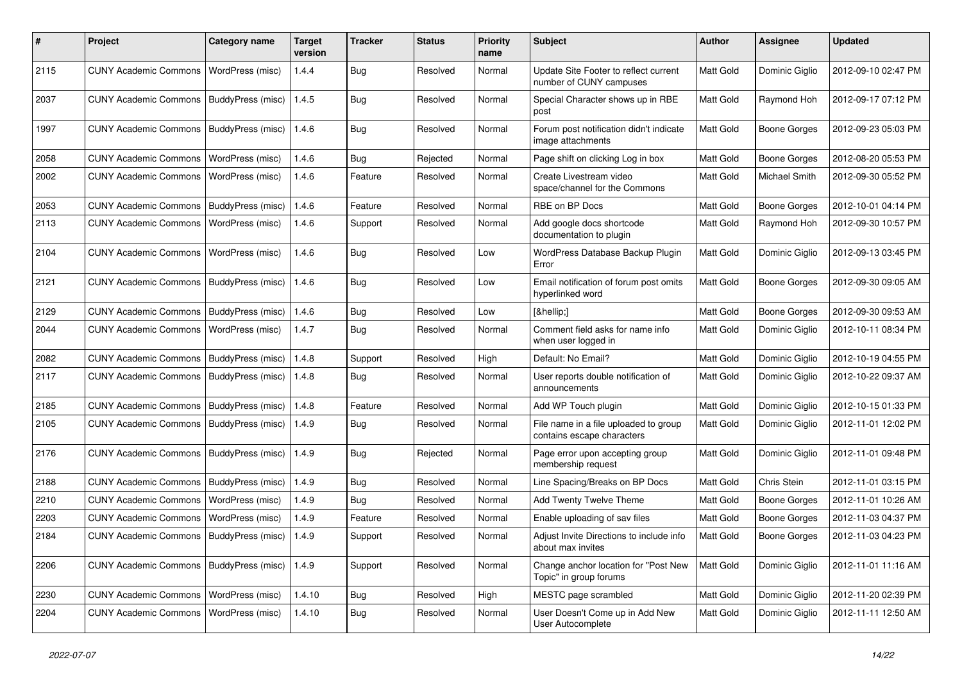| #    | Project                                   | <b>Category name</b> | <b>Target</b><br>version | <b>Tracker</b> | <b>Status</b> | <b>Priority</b><br>name | <b>Subject</b>                                                      | <b>Author</b> | <b>Assignee</b>     | <b>Updated</b>      |
|------|-------------------------------------------|----------------------|--------------------------|----------------|---------------|-------------------------|---------------------------------------------------------------------|---------------|---------------------|---------------------|
| 2115 | <b>CUNY Academic Commons</b>              | WordPress (misc)     | 1.4.4                    | <b>Bug</b>     | Resolved      | Normal                  | Update Site Footer to reflect current<br>number of CUNY campuses    | Matt Gold     | Dominic Giglio      | 2012-09-10 02:47 PM |
| 2037 | <b>CUNY Academic Commons</b>              | BuddyPress (misc)    | 1.4.5                    | <b>Bug</b>     | Resolved      | Normal                  | Special Character shows up in RBE<br>post                           | Matt Gold     | Raymond Hoh         | 2012-09-17 07:12 PM |
| 1997 | <b>CUNY Academic Commons</b>              | BuddyPress (misc)    | 1.4.6                    | <b>Bug</b>     | Resolved      | Normal                  | Forum post notification didn't indicate<br>image attachments        | Matt Gold     | <b>Boone Gorges</b> | 2012-09-23 05:03 PM |
| 2058 | <b>CUNY Academic Commons</b>              | WordPress (misc)     | 1.4.6                    | Bug            | Rejected      | Normal                  | Page shift on clicking Log in box                                   | Matt Gold     | <b>Boone Gorges</b> | 2012-08-20 05:53 PM |
| 2002 | <b>CUNY Academic Commons</b>              | WordPress (misc)     | 1.4.6                    | Feature        | Resolved      | Normal                  | Create Livestream video<br>space/channel for the Commons            | Matt Gold     | Michael Smith       | 2012-09-30 05:52 PM |
| 2053 | <b>CUNY Academic Commons</b>              | BuddyPress (misc)    | 1.4.6                    | Feature        | Resolved      | Normal                  | RBE on BP Docs                                                      | Matt Gold     | <b>Boone Gorges</b> | 2012-10-01 04:14 PM |
| 2113 | <b>CUNY Academic Commons</b>              | WordPress (misc)     | 1.4.6                    | Support        | Resolved      | Normal                  | Add google docs shortcode<br>documentation to plugin                | Matt Gold     | Raymond Hoh         | 2012-09-30 10:57 PM |
| 2104 | <b>CUNY Academic Commons</b>              | WordPress (misc)     | 1.4.6                    | Bug            | Resolved      | Low                     | WordPress Database Backup Plugin<br>Error                           | Matt Gold     | Dominic Giglio      | 2012-09-13 03:45 PM |
| 2121 | <b>CUNY Academic Commons</b>              | BuddyPress (misc)    | 1.4.6                    | <b>Bug</b>     | Resolved      | Low                     | Email notification of forum post omits<br>hyperlinked word          | Matt Gold     | <b>Boone Gorges</b> | 2012-09-30 09:05 AM |
| 2129 | <b>CUNY Academic Commons</b>              | BuddyPress (misc)    | 1.4.6                    | Bug            | Resolved      | Low                     | […]                                                                 | Matt Gold     | <b>Boone Gorges</b> | 2012-09-30 09:53 AM |
| 2044 | <b>CUNY Academic Commons</b>              | WordPress (misc)     | 1.4.7                    | <b>Bug</b>     | Resolved      | Normal                  | Comment field asks for name info<br>when user logged in             | Matt Gold     | Dominic Giglio      | 2012-10-11 08:34 PM |
| 2082 | <b>CUNY Academic Commons</b>              | BuddyPress (misc)    | 1.4.8                    | Support        | Resolved      | High                    | Default: No Email?                                                  | Matt Gold     | Dominic Giglio      | 2012-10-19 04:55 PM |
| 2117 | <b>CUNY Academic Commons</b>              | BuddyPress (misc)    | 1.4.8                    | Bug            | Resolved      | Normal                  | User reports double notification of<br>announcements                | Matt Gold     | Dominic Giglio      | 2012-10-22 09:37 AM |
| 2185 | <b>CUNY Academic Commons</b>              | BuddyPress (misc)    | 1.4.8                    | Feature        | Resolved      | Normal                  | Add WP Touch plugin                                                 | Matt Gold     | Dominic Giglio      | 2012-10-15 01:33 PM |
| 2105 | <b>CUNY Academic Commons</b>              | BuddyPress (misc)    | 1.4.9                    | Bug            | Resolved      | Normal                  | File name in a file uploaded to group<br>contains escape characters | Matt Gold     | Dominic Giglio      | 2012-11-01 12:02 PM |
| 2176 | <b>CUNY Academic Commons</b>              | BuddyPress (misc)    | 1.4.9                    | <b>Bug</b>     | Rejected      | Normal                  | Page error upon accepting group<br>membership request               | Matt Gold     | Dominic Giglio      | 2012-11-01 09:48 PM |
| 2188 | <b>CUNY Academic Commons</b>              | BuddyPress (misc)    | 1.4.9                    | <b>Bug</b>     | Resolved      | Normal                  | Line Spacing/Breaks on BP Docs                                      | Matt Gold     | Chris Stein         | 2012-11-01 03:15 PM |
| 2210 | <b>CUNY Academic Commons</b>              | WordPress (misc)     | 1.4.9                    | Bug            | Resolved      | Normal                  | Add Twenty Twelve Theme                                             | Matt Gold     | <b>Boone Gorges</b> | 2012-11-01 10:26 AM |
| 2203 | <b>CUNY Academic Commons</b>              | WordPress (misc)     | 1.4.9                    | Feature        | Resolved      | Normal                  | Enable uploading of sav files                                       | Matt Gold     | Boone Gorges        | 2012-11-03 04:37 PM |
| 2184 | CUNY Academic Commons   BuddyPress (misc) |                      | 1.4.9                    | Support        | Resolved      | Normal                  | Adjust Invite Directions to include info<br>about max invites       | Matt Gold     | Boone Gorges        | 2012-11-03 04:23 PM |
| 2206 | <b>CUNY Academic Commons</b>              | BuddyPress (misc)    | 1.4.9                    | Support        | Resolved      | Normal                  | Change anchor location for "Post New<br>Topic" in group forums      | Matt Gold     | Dominic Giglio      | 2012-11-01 11:16 AM |
| 2230 | <b>CUNY Academic Commons</b>              | WordPress (misc)     | 1.4.10                   | Bug            | Resolved      | High                    | MESTC page scrambled                                                | Matt Gold     | Dominic Giglio      | 2012-11-20 02:39 PM |
| 2204 | <b>CUNY Academic Commons</b>              | WordPress (misc)     | 1.4.10                   | <b>Bug</b>     | Resolved      | Normal                  | User Doesn't Come up in Add New<br>User Autocomplete                | Matt Gold     | Dominic Giglio      | 2012-11-11 12:50 AM |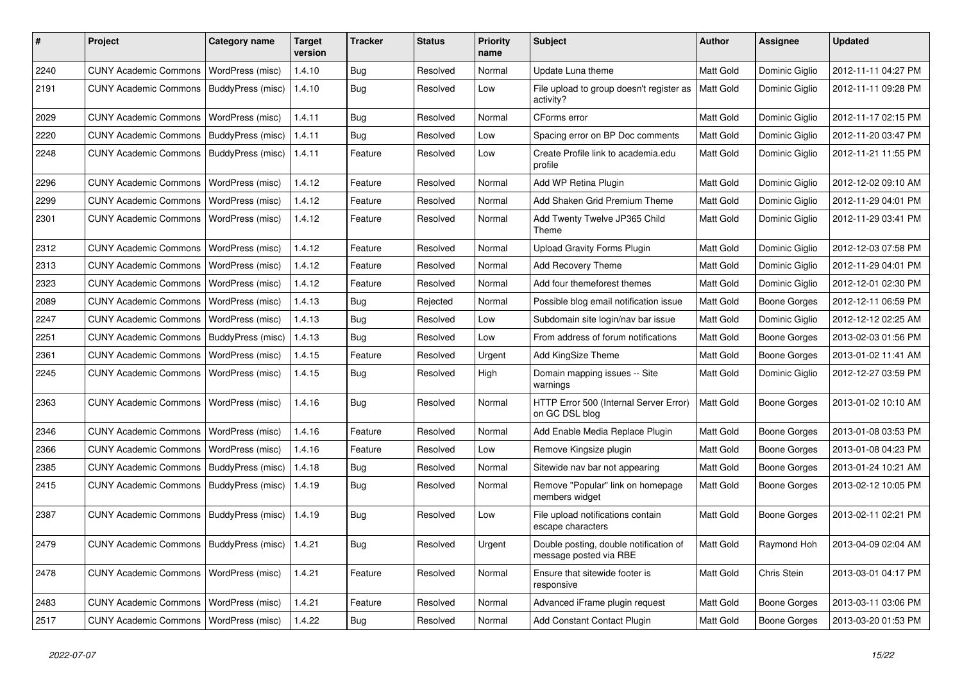| #    | Project                                            | <b>Category name</b>     | <b>Target</b><br>version | <b>Tracker</b> | <b>Status</b> | <b>Priority</b><br>name | Subject                                                          | <b>Author</b>    | Assignee            | <b>Updated</b>      |
|------|----------------------------------------------------|--------------------------|--------------------------|----------------|---------------|-------------------------|------------------------------------------------------------------|------------------|---------------------|---------------------|
| 2240 | <b>CUNY Academic Commons</b>                       | WordPress (misc)         | 1.4.10                   | Bug            | Resolved      | Normal                  | Update Luna theme                                                | Matt Gold        | Dominic Giglio      | 2012-11-11 04:27 PM |
| 2191 | <b>CUNY Academic Commons</b>                       | BuddyPress (misc)        | 1.4.10                   | Bug            | Resolved      | Low                     | File upload to group doesn't register as<br>activity?            | Matt Gold        | Dominic Giglio      | 2012-11-11 09:28 PM |
| 2029 | <b>CUNY Academic Commons</b>                       | WordPress (misc)         | 1.4.11                   | Bug            | Resolved      | Normal                  | CForms error                                                     | Matt Gold        | Dominic Giglio      | 2012-11-17 02:15 PM |
| 2220 | <b>CUNY Academic Commons</b>                       | <b>BuddyPress (misc)</b> | 1.4.11                   | Bug            | Resolved      | Low                     | Spacing error on BP Doc comments                                 | Matt Gold        | Dominic Giglio      | 2012-11-20 03:47 PM |
| 2248 | <b>CUNY Academic Commons</b>                       | BuddyPress (misc)        | 1.4.11                   | Feature        | Resolved      | Low                     | Create Profile link to academia.edu<br>profile                   | Matt Gold        | Dominic Giglio      | 2012-11-21 11:55 PM |
| 2296 | <b>CUNY Academic Commons</b>                       | WordPress (misc)         | 1.4.12                   | Feature        | Resolved      | Normal                  | Add WP Retina Plugin                                             | Matt Gold        | Dominic Giglio      | 2012-12-02 09:10 AM |
| 2299 | <b>CUNY Academic Commons</b>                       | WordPress (misc)         | 1.4.12                   | Feature        | Resolved      | Normal                  | Add Shaken Grid Premium Theme                                    | Matt Gold        | Dominic Giglio      | 2012-11-29 04:01 PM |
| 2301 | <b>CUNY Academic Commons</b>                       | WordPress (misc)         | 1.4.12                   | Feature        | Resolved      | Normal                  | Add Twenty Twelve JP365 Child<br>Theme                           | Matt Gold        | Dominic Giglio      | 2012-11-29 03:41 PM |
| 2312 | <b>CUNY Academic Commons</b>                       | <b>WordPress (misc)</b>  | 1.4.12                   | Feature        | Resolved      | Normal                  | <b>Upload Gravity Forms Plugin</b>                               | Matt Gold        | Dominic Giglio      | 2012-12-03 07:58 PM |
| 2313 | <b>CUNY Academic Commons</b>                       | WordPress (misc)         | 1.4.12                   | Feature        | Resolved      | Normal                  | Add Recovery Theme                                               | <b>Matt Gold</b> | Dominic Giglio      | 2012-11-29 04:01 PM |
| 2323 | <b>CUNY Academic Commons</b>                       | WordPress (misc)         | 1.4.12                   | Feature        | Resolved      | Normal                  | Add four themeforest themes                                      | Matt Gold        | Dominic Giglio      | 2012-12-01 02:30 PM |
| 2089 | <b>CUNY Academic Commons</b>                       | WordPress (misc)         | 1.4.13                   | Bug            | Rejected      | Normal                  | Possible blog email notification issue                           | Matt Gold        | <b>Boone Gorges</b> | 2012-12-11 06:59 PM |
| 2247 | <b>CUNY Academic Commons</b>                       | WordPress (misc)         | 1.4.13                   | Bug            | Resolved      | Low                     | Subdomain site login/nav bar issue                               | Matt Gold        | Dominic Giglio      | 2012-12-12 02:25 AM |
| 2251 | <b>CUNY Academic Commons</b>                       | BuddyPress (misc)        | 1.4.13                   | Bug            | Resolved      | Low                     | From address of forum notifications                              | Matt Gold        | <b>Boone Gorges</b> | 2013-02-03 01:56 PM |
| 2361 | <b>CUNY Academic Commons</b>                       | WordPress (misc)         | 1.4.15                   | Feature        | Resolved      | Urgent                  | Add KingSize Theme                                               | Matt Gold        | Boone Gorges        | 2013-01-02 11:41 AM |
| 2245 | <b>CUNY Academic Commons</b>                       | WordPress (misc)         | 1.4.15                   | Bug            | Resolved      | High                    | Domain mapping issues -- Site<br>warnings                        | <b>Matt Gold</b> | Dominic Giglio      | 2012-12-27 03:59 PM |
| 2363 | <b>CUNY Academic Commons</b>                       | WordPress (misc)         | 1.4.16                   | Bug            | Resolved      | Normal                  | HTTP Error 500 (Internal Server Error)<br>on GC DSL blog         | Matt Gold        | Boone Gorges        | 2013-01-02 10:10 AM |
| 2346 | <b>CUNY Academic Commons</b>                       | WordPress (misc)         | 1.4.16                   | Feature        | Resolved      | Normal                  | Add Enable Media Replace Plugin                                  | Matt Gold        | <b>Boone Gorges</b> | 2013-01-08 03:53 PM |
| 2366 | <b>CUNY Academic Commons</b>                       | WordPress (misc)         | 1.4.16                   | Feature        | Resolved      | Low                     | Remove Kingsize plugin                                           | Matt Gold        | <b>Boone Gorges</b> | 2013-01-08 04:23 PM |
| 2385 | <b>CUNY Academic Commons</b>                       | BuddyPress (misc)        | 1.4.18                   | Bug            | Resolved      | Normal                  | Sitewide nav bar not appearing                                   | Matt Gold        | <b>Boone Gorges</b> | 2013-01-24 10:21 AM |
| 2415 | <b>CUNY Academic Commons</b>                       | BuddyPress (misc)        | 1.4.19                   | Bug            | Resolved      | Normal                  | Remove "Popular" link on homepage<br>members widget              | Matt Gold        | <b>Boone Gorges</b> | 2013-02-12 10:05 PM |
| 2387 | <b>CUNY Academic Commons</b>                       | BuddyPress (misc)        | 1.4.19                   | <b>Bug</b>     | Resolved      | Low                     | File upload notifications contain<br>escape characters           | Matt Gold        | <b>Boone Gorges</b> | 2013-02-11 02:21 PM |
| 2479 | CUNY Academic Commons   BuddyPress (misc)   1.4.21 |                          |                          | Bug            | Resolved      | Urgent                  | Double posting, double notification of<br>message posted via RBE | Matt Gold        | Raymond Hoh         | 2013-04-09 02:04 AM |
| 2478 | CUNY Academic Commons   WordPress (misc)           |                          | 1.4.21                   | Feature        | Resolved      | Normal                  | Ensure that sitewide footer is<br>responsive                     | Matt Gold        | Chris Stein         | 2013-03-01 04:17 PM |
| 2483 | CUNY Academic Commons   WordPress (misc)           |                          | 1.4.21                   | Feature        | Resolved      | Normal                  | Advanced iFrame plugin request                                   | Matt Gold        | Boone Gorges        | 2013-03-11 03:06 PM |
| 2517 | CUNY Academic Commons   WordPress (misc)           |                          | 1.4.22                   | <b>Bug</b>     | Resolved      | Normal                  | Add Constant Contact Plugin                                      | Matt Gold        | <b>Boone Gorges</b> | 2013-03-20 01:53 PM |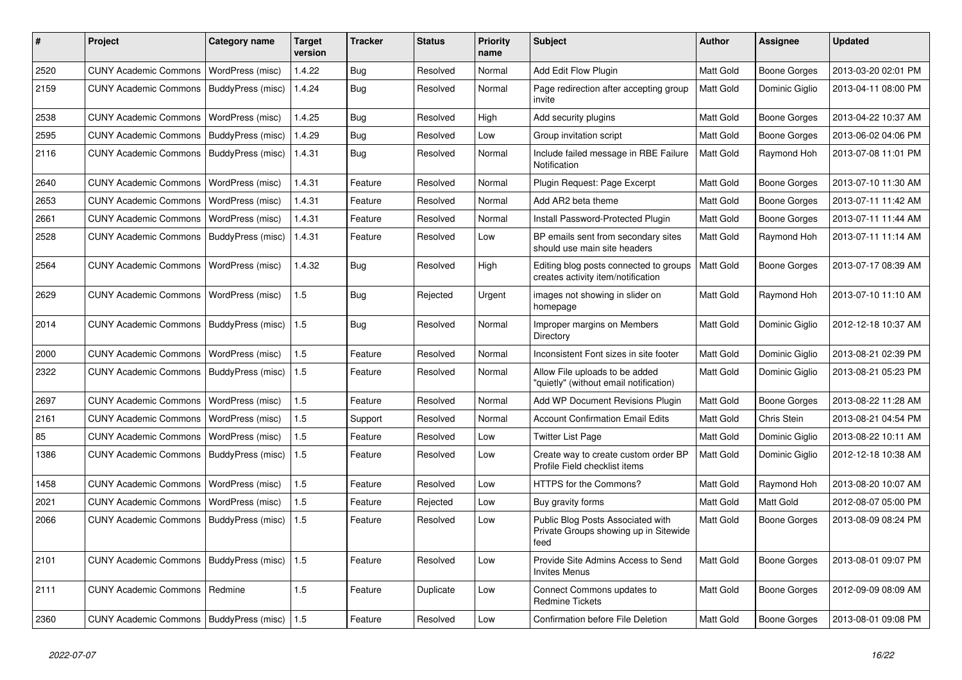| #    | Project                                   | Category name     | <b>Target</b><br>version | <b>Tracker</b> | <b>Status</b> | <b>Priority</b><br>name | <b>Subject</b>                                                                     | <b>Author</b>    | <b>Assignee</b>     | <b>Updated</b>      |
|------|-------------------------------------------|-------------------|--------------------------|----------------|---------------|-------------------------|------------------------------------------------------------------------------------|------------------|---------------------|---------------------|
| 2520 | <b>CUNY Academic Commons</b>              | WordPress (misc)  | 1.4.22                   | Bug            | Resolved      | Normal                  | Add Edit Flow Plugin                                                               | Matt Gold        | Boone Gorges        | 2013-03-20 02:01 PM |
| 2159 | <b>CUNY Academic Commons</b>              | BuddyPress (misc) | 1.4.24                   | Bug            | Resolved      | Normal                  | Page redirection after accepting group<br>invite                                   | Matt Gold        | Dominic Giglio      | 2013-04-11 08:00 PM |
| 2538 | <b>CUNY Academic Commons</b>              | WordPress (misc)  | 1.4.25                   | Bug            | Resolved      | High                    | Add security plugins                                                               | Matt Gold        | Boone Gorges        | 2013-04-22 10:37 AM |
| 2595 | <b>CUNY Academic Commons</b>              | BuddyPress (misc) | 1.4.29                   | Bug            | Resolved      | Low                     | Group invitation script                                                            | Matt Gold        | Boone Gorges        | 2013-06-02 04:06 PM |
| 2116 | <b>CUNY Academic Commons</b>              | BuddyPress (misc) | 1.4.31                   | <b>Bug</b>     | Resolved      | Normal                  | Include failed message in RBE Failure<br>Notification                              | Matt Gold        | Raymond Hoh         | 2013-07-08 11:01 PM |
| 2640 | <b>CUNY Academic Commons</b>              | WordPress (misc)  | 1.4.31                   | Feature        | Resolved      | Normal                  | Plugin Request: Page Excerpt                                                       | Matt Gold        | Boone Gorges        | 2013-07-10 11:30 AM |
| 2653 | <b>CUNY Academic Commons</b>              | WordPress (misc)  | 1.4.31                   | Feature        | Resolved      | Normal                  | Add AR2 beta theme                                                                 | Matt Gold        | Boone Gorges        | 2013-07-11 11:42 AM |
| 2661 | <b>CUNY Academic Commons</b>              | WordPress (misc)  | 1.4.31                   | Feature        | Resolved      | Normal                  | Install Password-Protected Plugin                                                  | Matt Gold        | Boone Gorges        | 2013-07-11 11:44 AM |
| 2528 | <b>CUNY Academic Commons</b>              | BuddyPress (misc) | 1.4.31                   | Feature        | Resolved      | Low                     | BP emails sent from secondary sites<br>should use main site headers                | Matt Gold        | Raymond Hoh         | 2013-07-11 11:14 AM |
| 2564 | <b>CUNY Academic Commons</b>              | WordPress (misc)  | 1.4.32                   | Bug            | Resolved      | High                    | Editing blog posts connected to groups<br>creates activity item/notification       | Matt Gold        | Boone Gorges        | 2013-07-17 08:39 AM |
| 2629 | <b>CUNY Academic Commons</b>              | WordPress (misc)  | 1.5                      | <b>Bug</b>     | Rejected      | Urgent                  | images not showing in slider on<br>homepage                                        | Matt Gold        | Raymond Hoh         | 2013-07-10 11:10 AM |
| 2014 | <b>CUNY Academic Commons</b>              | BuddyPress (misc) | 1.5                      | Bug            | Resolved      | Normal                  | Improper margins on Members<br>Directory                                           | <b>Matt Gold</b> | Dominic Giglio      | 2012-12-18 10:37 AM |
| 2000 | <b>CUNY Academic Commons</b>              | WordPress (misc)  | 1.5                      | Feature        | Resolved      | Normal                  | Inconsistent Font sizes in site footer                                             | Matt Gold        | Dominic Giglio      | 2013-08-21 02:39 PM |
| 2322 | <b>CUNY Academic Commons</b>              | BuddyPress (misc) | 1.5                      | Feature        | Resolved      | Normal                  | Allow File uploads to be added<br>"quietly" (without email notification)           | Matt Gold        | Dominic Giglio      | 2013-08-21 05:23 PM |
| 2697 | <b>CUNY Academic Commons</b>              | WordPress (misc)  | 1.5                      | Feature        | Resolved      | Normal                  | Add WP Document Revisions Plugin                                                   | Matt Gold        | Boone Gorges        | 2013-08-22 11:28 AM |
| 2161 | <b>CUNY Academic Commons</b>              | WordPress (misc)  | 1.5                      | Support        | Resolved      | Normal                  | <b>Account Confirmation Email Edits</b>                                            | Matt Gold        | Chris Stein         | 2013-08-21 04:54 PM |
| 85   | <b>CUNY Academic Commons</b>              | WordPress (misc)  | 1.5                      | Feature        | Resolved      | Low                     | <b>Twitter List Page</b>                                                           | <b>Matt Gold</b> | Dominic Giglio      | 2013-08-22 10:11 AM |
| 1386 | <b>CUNY Academic Commons</b>              | BuddyPress (misc) | 1.5                      | Feature        | Resolved      | Low                     | Create way to create custom order BP<br>Profile Field checklist items              | Matt Gold        | Dominic Giglio      | 2012-12-18 10:38 AM |
| 1458 | <b>CUNY Academic Commons</b>              | WordPress (misc)  | 1.5                      | Feature        | Resolved      | Low                     | HTTPS for the Commons?                                                             | Matt Gold        | Raymond Hoh         | 2013-08-20 10:07 AM |
| 2021 | <b>CUNY Academic Commons</b>              | WordPress (misc)  | 1.5                      | Feature        | Rejected      | Low                     | Buy gravity forms                                                                  | Matt Gold        | Matt Gold           | 2012-08-07 05:00 PM |
| 2066 | <b>CUNY Academic Commons</b>              | BuddyPress (misc) | 1.5                      | Feature        | Resolved      | Low                     | Public Blog Posts Associated with<br>Private Groups showing up in Sitewide<br>feed | Matt Gold        | Boone Gorges        | 2013-08-09 08:24 PM |
| 2101 | <b>CUNY Academic Commons</b>              | BuddyPress (misc) | 1.5                      | Feature        | Resolved      | Low                     | Provide Site Admins Access to Send<br><b>Invites Menus</b>                         | Matt Gold        | Boone Gorges        | 2013-08-01 09:07 PM |
| 2111 | <b>CUNY Academic Commons</b>              | Redmine           | 1.5                      | Feature        | Duplicate     | Low                     | Connect Commons updates to<br><b>Redmine Tickets</b>                               | Matt Gold        | Boone Gorges        | 2012-09-09 08:09 AM |
| 2360 | CUNY Academic Commons   BuddyPress (misc) |                   | 1.5                      | Feature        | Resolved      | Low                     | Confirmation before File Deletion                                                  | Matt Gold        | <b>Boone Gorges</b> | 2013-08-01 09:08 PM |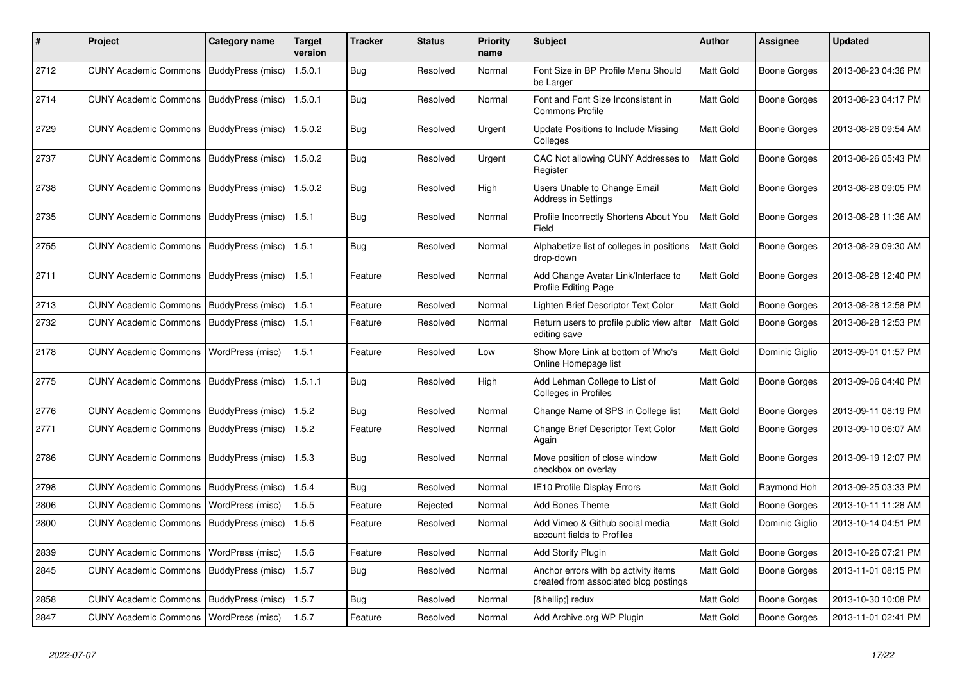| #    | Project                                  | Category name     | <b>Target</b><br>version | Tracker    | <b>Status</b> | <b>Priority</b><br>name | <b>Subject</b>                                                                | <b>Author</b> | Assignee            | <b>Updated</b>      |
|------|------------------------------------------|-------------------|--------------------------|------------|---------------|-------------------------|-------------------------------------------------------------------------------|---------------|---------------------|---------------------|
| 2712 | <b>CUNY Academic Commons</b>             | BuddyPress (misc) | 1.5.0.1                  | Bug        | Resolved      | Normal                  | Font Size in BP Profile Menu Should<br>be Larger                              | Matt Gold     | Boone Gorges        | 2013-08-23 04:36 PM |
| 2714 | <b>CUNY Academic Commons</b>             | BuddyPress (misc) | 1.5.0.1                  | <b>Bug</b> | Resolved      | Normal                  | Font and Font Size Inconsistent in<br><b>Commons Profile</b>                  | Matt Gold     | <b>Boone Gorges</b> | 2013-08-23 04:17 PM |
| 2729 | <b>CUNY Academic Commons</b>             | BuddyPress (misc) | 1.5.0.2                  | <b>Bug</b> | Resolved      | Urgent                  | Update Positions to Include Missing<br>Colleges                               | Matt Gold     | <b>Boone Gorges</b> | 2013-08-26 09:54 AM |
| 2737 | <b>CUNY Academic Commons</b>             | BuddyPress (misc) | 1.5.0.2                  | <b>Bug</b> | Resolved      | Urgent                  | CAC Not allowing CUNY Addresses to<br>Register                                | Matt Gold     | Boone Gorges        | 2013-08-26 05:43 PM |
| 2738 | <b>CUNY Academic Commons</b>             | BuddyPress (misc) | 1.5.0.2                  | <b>Bug</b> | Resolved      | High                    | Users Unable to Change Email<br><b>Address in Settings</b>                    | Matt Gold     | <b>Boone Gorges</b> | 2013-08-28 09:05 PM |
| 2735 | <b>CUNY Academic Commons</b>             | BuddyPress (misc) | 1.5.1                    | Bug        | Resolved      | Normal                  | Profile Incorrectly Shortens About You<br>Field                               | Matt Gold     | <b>Boone Gorges</b> | 2013-08-28 11:36 AM |
| 2755 | <b>CUNY Academic Commons</b>             | BuddyPress (misc) | 1.5.1                    | <b>Bug</b> | Resolved      | Normal                  | Alphabetize list of colleges in positions<br>drop-down                        | Matt Gold     | Boone Gorges        | 2013-08-29 09:30 AM |
| 2711 | <b>CUNY Academic Commons</b>             | BuddyPress (misc) | 1.5.1                    | Feature    | Resolved      | Normal                  | Add Change Avatar Link/Interface to<br>Profile Editing Page                   | Matt Gold     | <b>Boone Gorges</b> | 2013-08-28 12:40 PM |
| 2713 | <b>CUNY Academic Commons</b>             | BuddyPress (misc) | 1.5.1                    | Feature    | Resolved      | Normal                  | Lighten Brief Descriptor Text Color                                           | Matt Gold     | Boone Gorges        | 2013-08-28 12:58 PM |
| 2732 | <b>CUNY Academic Commons</b>             | BuddyPress (misc) | 1.5.1                    | Feature    | Resolved      | Normal                  | Return users to profile public view after<br>editing save                     | Matt Gold     | Boone Gorges        | 2013-08-28 12:53 PM |
| 2178 | <b>CUNY Academic Commons</b>             | WordPress (misc)  | 1.5.1                    | Feature    | Resolved      | Low                     | Show More Link at bottom of Who's<br>Online Homepage list                     | Matt Gold     | Dominic Giglio      | 2013-09-01 01:57 PM |
| 2775 | <b>CUNY Academic Commons</b>             | BuddyPress (misc) | 1.5.1.1                  | <b>Bug</b> | Resolved      | High                    | Add Lehman College to List of<br>Colleges in Profiles                         | Matt Gold     | <b>Boone Gorges</b> | 2013-09-06 04:40 PM |
| 2776 | <b>CUNY Academic Commons</b>             | BuddyPress (misc) | 1.5.2                    | Bug        | Resolved      | Normal                  | Change Name of SPS in College list                                            | Matt Gold     | <b>Boone Gorges</b> | 2013-09-11 08:19 PM |
| 2771 | <b>CUNY Academic Commons</b>             | BuddyPress (misc) | 1.5.2                    | Feature    | Resolved      | Normal                  | Change Brief Descriptor Text Color<br>Again                                   | Matt Gold     | <b>Boone Gorges</b> | 2013-09-10 06:07 AM |
| 2786 | <b>CUNY Academic Commons</b>             | BuddyPress (misc) | 1.5.3                    | <b>Bug</b> | Resolved      | Normal                  | Move position of close window<br>checkbox on overlay                          | Matt Gold     | <b>Boone Gorges</b> | 2013-09-19 12:07 PM |
| 2798 | <b>CUNY Academic Commons</b>             | BuddyPress (misc) | 1.5.4                    | <b>Bug</b> | Resolved      | Normal                  | <b>IE10 Profile Display Errors</b>                                            | Matt Gold     | Raymond Hoh         | 2013-09-25 03:33 PM |
| 2806 | <b>CUNY Academic Commons</b>             | WordPress (misc)  | 1.5.5                    | Feature    | Rejected      | Normal                  | <b>Add Bones Theme</b>                                                        | Matt Gold     | Boone Gorges        | 2013-10-11 11:28 AM |
| 2800 | <b>CUNY Academic Commons</b>             | BuddyPress (misc) | 1.5.6                    | Feature    | Resolved      | Normal                  | Add Vimeo & Github social media<br>account fields to Profiles                 | Matt Gold     | Dominic Giglio      | 2013-10-14 04:51 PM |
| 2839 | <b>CUNY Academic Commons</b>             | WordPress (misc)  | 1.5.6                    | Feature    | Resolved      | Normal                  | Add Storify Plugin                                                            | Matt Gold     | Boone Gorges        | 2013-10-26 07:21 PM |
| 2845 | <b>CUNY Academic Commons</b>             | BuddyPress (misc) | 1.5.7                    | <b>Bug</b> | Resolved      | Normal                  | Anchor errors with bp activity items<br>created from associated blog postings | Matt Gold     | Boone Gorges        | 2013-11-01 08:15 PM |
| 2858 | <b>CUNY Academic Commons</b>             | BuddyPress (misc) | 1.5.7                    | Bug        | Resolved      | Normal                  | […] redux                                                                     | Matt Gold     | Boone Gorges        | 2013-10-30 10:08 PM |
| 2847 | CUNY Academic Commons   WordPress (misc) |                   | 1.5.7                    | Feature    | Resolved      | Normal                  | Add Archive.org WP Plugin                                                     | Matt Gold     | <b>Boone Gorges</b> | 2013-11-01 02:41 PM |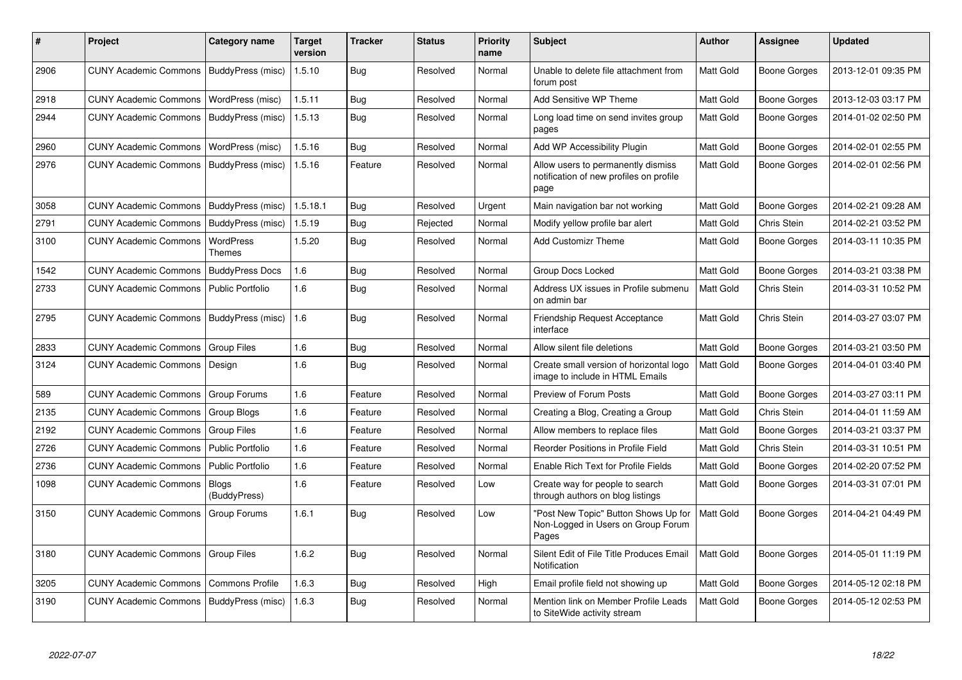| #    | Project                      | Category name                | <b>Target</b><br>version | <b>Tracker</b> | <b>Status</b> | <b>Priority</b><br>name | <b>Subject</b>                                                                        | <b>Author</b>    | Assignee            | <b>Updated</b>      |
|------|------------------------------|------------------------------|--------------------------|----------------|---------------|-------------------------|---------------------------------------------------------------------------------------|------------------|---------------------|---------------------|
| 2906 | <b>CUNY Academic Commons</b> | BuddyPress (misc)            | 1.5.10                   | Bug            | Resolved      | Normal                  | Unable to delete file attachment from<br>forum post                                   | Matt Gold        | <b>Boone Gorges</b> | 2013-12-01 09:35 PM |
| 2918 | <b>CUNY Academic Commons</b> | WordPress (misc)             | 1.5.11                   | Bug            | Resolved      | Normal                  | Add Sensitive WP Theme                                                                | Matt Gold        | Boone Gorges        | 2013-12-03 03:17 PM |
| 2944 | <b>CUNY Academic Commons</b> | BuddyPress (misc)            | 1.5.13                   | Bug            | Resolved      | Normal                  | Long load time on send invites group<br>pages                                         | Matt Gold        | Boone Gorges        | 2014-01-02 02:50 PM |
| 2960 | <b>CUNY Academic Commons</b> | WordPress (misc)             | 1.5.16                   | Bug            | Resolved      | Normal                  | Add WP Accessibility Plugin                                                           | Matt Gold        | Boone Gorges        | 2014-02-01 02:55 PM |
| 2976 | <b>CUNY Academic Commons</b> | BuddyPress (misc)            | 1.5.16                   | Feature        | Resolved      | Normal                  | Allow users to permanently dismiss<br>notification of new profiles on profile<br>page | Matt Gold        | Boone Gorges        | 2014-02-01 02:56 PM |
| 3058 | <b>CUNY Academic Commons</b> | BuddyPress (misc)            | 1.5.18.1                 | Bug            | Resolved      | Urgent                  | Main navigation bar not working                                                       | Matt Gold        | Boone Gorges        | 2014-02-21 09:28 AM |
| 2791 | <b>CUNY Academic Commons</b> | BuddyPress (misc)            | 1.5.19                   | <b>Bug</b>     | Rejected      | Normal                  | Modify yellow profile bar alert                                                       | Matt Gold        | Chris Stein         | 2014-02-21 03:52 PM |
| 3100 | <b>CUNY Academic Commons</b> | WordPress<br>Themes          | 1.5.20                   | Bug            | Resolved      | Normal                  | <b>Add Customizr Theme</b>                                                            | Matt Gold        | Boone Gorges        | 2014-03-11 10:35 PM |
| 1542 | <b>CUNY Academic Commons</b> | <b>BuddyPress Docs</b>       | 1.6                      | Bug            | Resolved      | Normal                  | Group Docs Locked                                                                     | Matt Gold        | Boone Gorges        | 2014-03-21 03:38 PM |
| 2733 | <b>CUNY Academic Commons</b> | <b>Public Portfolio</b>      | 1.6                      | Bug            | Resolved      | Normal                  | Address UX issues in Profile submenu<br>on admin bar                                  | Matt Gold        | Chris Stein         | 2014-03-31 10:52 PM |
| 2795 | <b>CUNY Academic Commons</b> | BuddyPress (misc)            | 1.6                      | Bug            | Resolved      | Normal                  | <b>Friendship Request Acceptance</b><br>interface                                     | Matt Gold        | Chris Stein         | 2014-03-27 03:07 PM |
| 2833 | <b>CUNY Academic Commons</b> | <b>Group Files</b>           | 1.6                      | Bug            | Resolved      | Normal                  | Allow silent file deletions                                                           | Matt Gold        | Boone Gorges        | 2014-03-21 03:50 PM |
| 3124 | <b>CUNY Academic Commons</b> | Design                       | 1.6                      | Bug            | Resolved      | Normal                  | Create small version of horizontal logo<br>image to include in HTML Emails            | Matt Gold        | Boone Gorges        | 2014-04-01 03:40 PM |
| 589  | <b>CUNY Academic Commons</b> | Group Forums                 | 1.6                      | Feature        | Resolved      | Normal                  | Preview of Forum Posts                                                                | Matt Gold        | Boone Gorges        | 2014-03-27 03:11 PM |
| 2135 | <b>CUNY Academic Commons</b> | Group Blogs                  | 1.6                      | Feature        | Resolved      | Normal                  | Creating a Blog, Creating a Group                                                     | Matt Gold        | Chris Stein         | 2014-04-01 11:59 AM |
| 2192 | <b>CUNY Academic Commons</b> | <b>Group Files</b>           | 1.6                      | Feature        | Resolved      | Normal                  | Allow members to replace files                                                        | Matt Gold        | Boone Gorges        | 2014-03-21 03:37 PM |
| 2726 | <b>CUNY Academic Commons</b> | <b>Public Portfolio</b>      | 1.6                      | Feature        | Resolved      | Normal                  | Reorder Positions in Profile Field                                                    | Matt Gold        | Chris Stein         | 2014-03-31 10:51 PM |
| 2736 | <b>CUNY Academic Commons</b> | <b>Public Portfolio</b>      | 1.6                      | Feature        | Resolved      | Normal                  | Enable Rich Text for Profile Fields                                                   | Matt Gold        | Boone Gorges        | 2014-02-20 07:52 PM |
| 1098 | <b>CUNY Academic Commons</b> | <b>Blogs</b><br>(BuddyPress) | 1.6                      | Feature        | Resolved      | Low                     | Create way for people to search<br>through authors on blog listings                   | <b>Matt Gold</b> | Boone Gorges        | 2014-03-31 07:01 PM |
| 3150 | <b>CUNY Academic Commons</b> | Group Forums                 | 1.6.1                    | Bug            | Resolved      | Low                     | "Post New Topic" Button Shows Up for<br>Non-Logged in Users on Group Forum<br>Pages   | <b>Matt Gold</b> | Boone Gorges        | 2014-04-21 04:49 PM |
| 3180 | <b>CUNY Academic Commons</b> | <b>Group Files</b>           | 1.6.2                    | Bug            | Resolved      | Normal                  | Silent Edit of File Title Produces Email<br>Notification                              | Matt Gold        | <b>Boone Gorges</b> | 2014-05-01 11:19 PM |
| 3205 | <b>CUNY Academic Commons</b> | <b>Commons Profile</b>       | 1.6.3                    | <b>Bug</b>     | Resolved      | High                    | Email profile field not showing up                                                    | Matt Gold        | Boone Gorges        | 2014-05-12 02:18 PM |
| 3190 | <b>CUNY Academic Commons</b> | BuddyPress (misc)            | 1.6.3                    | <b>Bug</b>     | Resolved      | Normal                  | Mention link on Member Profile Leads<br>to SiteWide activity stream                   | Matt Gold        | Boone Gorges        | 2014-05-12 02:53 PM |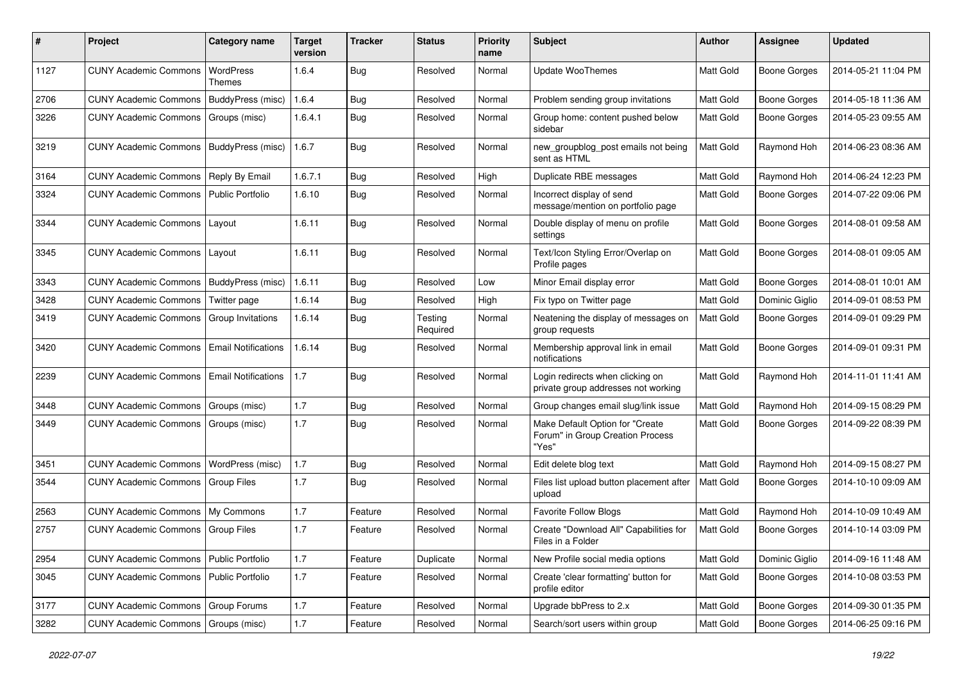| #    | Project                                    | Category name              | <b>Target</b><br>version | <b>Tracker</b> | <b>Status</b>       | <b>Priority</b><br>name | Subject                                                                      | Author           | Assignee            | <b>Updated</b>      |
|------|--------------------------------------------|----------------------------|--------------------------|----------------|---------------------|-------------------------|------------------------------------------------------------------------------|------------------|---------------------|---------------------|
| 1127 | <b>CUNY Academic Commons</b>               | WordPress<br>Themes        | 1.6.4                    | <b>Bug</b>     | Resolved            | Normal                  | <b>Update WooThemes</b>                                                      | Matt Gold        | <b>Boone Gorges</b> | 2014-05-21 11:04 PM |
| 2706 | <b>CUNY Academic Commons</b>               | BuddyPress (misc)          | 1.6.4                    | Bug            | Resolved            | Normal                  | Problem sending group invitations                                            | Matt Gold        | <b>Boone Gorges</b> | 2014-05-18 11:36 AM |
| 3226 | <b>CUNY Academic Commons</b>               | Groups (misc)              | 1.6.4.1                  | <b>Bug</b>     | Resolved            | Normal                  | Group home: content pushed below<br>sidebar                                  | Matt Gold        | <b>Boone Gorges</b> | 2014-05-23 09:55 AM |
| 3219 | <b>CUNY Academic Commons</b>               | BuddyPress (misc)          | 1.6.7                    | Bug            | Resolved            | Normal                  | new_groupblog_post emails not being<br>sent as HTML                          | Matt Gold        | Raymond Hoh         | 2014-06-23 08:36 AM |
| 3164 | <b>CUNY Academic Commons</b>               | Reply By Email             | 1.6.7.1                  | Bug            | Resolved            | High                    | Duplicate RBE messages                                                       | Matt Gold        | Raymond Hoh         | 2014-06-24 12:23 PM |
| 3324 | <b>CUNY Academic Commons</b>               | <b>Public Portfolio</b>    | 1.6.10                   | Bug            | Resolved            | Normal                  | Incorrect display of send<br>message/mention on portfolio page               | Matt Gold        | Boone Gorges        | 2014-07-22 09:06 PM |
| 3344 | <b>CUNY Academic Commons</b>               | Layout                     | 1.6.11                   | Bug            | Resolved            | Normal                  | Double display of menu on profile<br>settings                                | Matt Gold        | Boone Gorges        | 2014-08-01 09:58 AM |
| 3345 | <b>CUNY Academic Commons</b>               | Layout                     | 1.6.11                   | Bug            | Resolved            | Normal                  | Text/Icon Styling Error/Overlap on<br>Profile pages                          | <b>Matt Gold</b> | <b>Boone Gorges</b> | 2014-08-01 09:05 AM |
| 3343 | CUNY Academic Commons   BuddyPress (misc)  |                            | 1.6.11                   | Bug            | Resolved            | Low                     | Minor Email display error                                                    | Matt Gold        | <b>Boone Gorges</b> | 2014-08-01 10:01 AM |
| 3428 | <b>CUNY Academic Commons</b>               | Twitter page               | 1.6.14                   | <b>Bug</b>     | Resolved            | High                    | Fix typo on Twitter page                                                     | Matt Gold        | Dominic Giglio      | 2014-09-01 08:53 PM |
| 3419 | <b>CUNY Academic Commons</b>               | Group Invitations          | 1.6.14                   | Bug            | Testing<br>Required | Normal                  | Neatening the display of messages on<br>group requests                       | Matt Gold        | Boone Gorges        | 2014-09-01 09:29 PM |
| 3420 | <b>CUNY Academic Commons</b>               | <b>Email Notifications</b> | 1.6.14                   | Bug            | Resolved            | Normal                  | Membership approval link in email<br>notifications                           | Matt Gold        | Boone Gorges        | 2014-09-01 09:31 PM |
| 2239 | <b>CUNY Academic Commons</b>               | <b>Email Notifications</b> | 1.7                      | Bug            | Resolved            | Normal                  | Login redirects when clicking on<br>private group addresses not working      | Matt Gold        | Raymond Hoh         | 2014-11-01 11:41 AM |
| 3448 | <b>CUNY Academic Commons</b>               | Groups (misc)              | 1.7                      | Bug            | Resolved            | Normal                  | Group changes email slug/link issue                                          | Matt Gold        | Raymond Hoh         | 2014-09-15 08:29 PM |
| 3449 | <b>CUNY Academic Commons</b>               | Groups (misc)              | 1.7                      | Bug            | Resolved            | Normal                  | Make Default Option for "Create<br>Forum" in Group Creation Process<br>"Yes" | Matt Gold        | Boone Gorges        | 2014-09-22 08:39 PM |
| 3451 | <b>CUNY Academic Commons</b>               | WordPress (misc)           | 1.7                      | Bug            | Resolved            | Normal                  | Edit delete blog text                                                        | Matt Gold        | Raymond Hoh         | 2014-09-15 08:27 PM |
| 3544 | <b>CUNY Academic Commons</b>               | <b>Group Files</b>         | 1.7                      | Bug            | Resolved            | Normal                  | Files list upload button placement after<br>upload                           | Matt Gold        | Boone Gorges        | 2014-10-10 09:09 AM |
| 2563 | <b>CUNY Academic Commons</b>               | My Commons                 | 1.7                      | Feature        | Resolved            | Normal                  | <b>Favorite Follow Blogs</b>                                                 | Matt Gold        | Raymond Hoh         | 2014-10-09 10:49 AM |
| 2757 | <b>CUNY Academic Commons   Group Files</b> |                            | 1.7                      | Feature        | Resolved            | Normal                  | Create "Download All" Capabilities for<br>Files in a Folder                  | <b>Matt Gold</b> | <b>Boone Gorges</b> | 2014-10-14 03:09 PM |
| 2954 | CUNY Academic Commons   Public Portfolio   |                            | 1.7                      | Feature        | Duplicate           | Normal                  | New Profile social media options                                             | Matt Gold        | Dominic Giglio      | 2014-09-16 11:48 AM |
| 3045 | CUNY Academic Commons   Public Portfolio   |                            | $1.7\,$                  | Feature        | Resolved            | Normal                  | Create 'clear formatting' button for<br>profile editor                       | Matt Gold        | Boone Gorges        | 2014-10-08 03:53 PM |
| 3177 | CUNY Academic Commons   Group Forums       |                            | $1.7$                    | Feature        | Resolved            | Normal                  | Upgrade bbPress to 2.x                                                       | Matt Gold        | <b>Boone Gorges</b> | 2014-09-30 01:35 PM |
| 3282 | CUNY Academic Commons   Groups (misc)      |                            | 1.7                      | Feature        | Resolved            | Normal                  | Search/sort users within group                                               | Matt Gold        | Boone Gorges        | 2014-06-25 09:16 PM |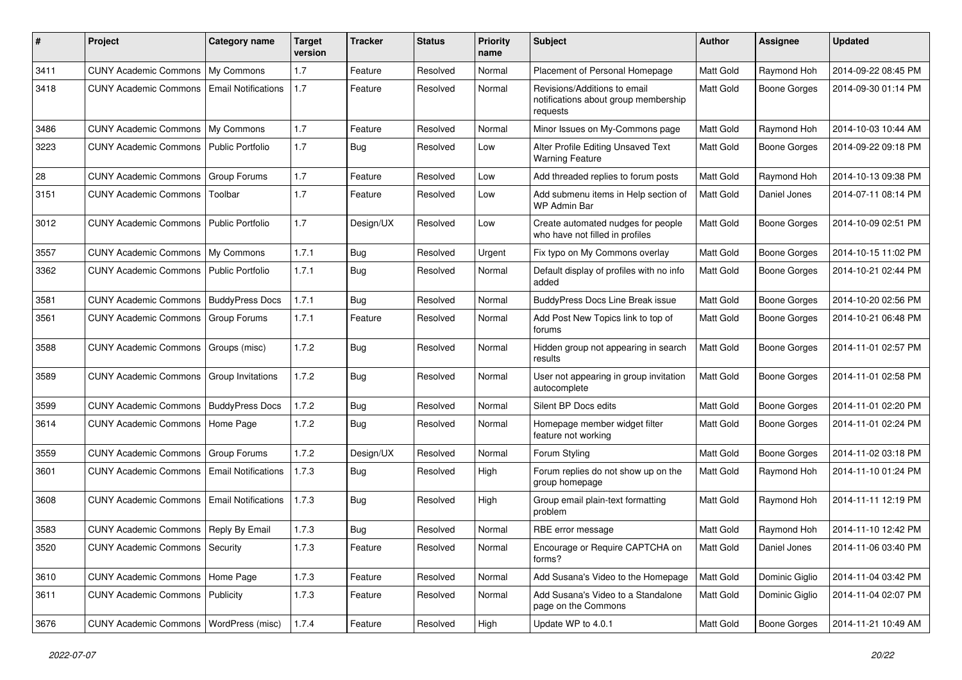| #    | Project                                  | <b>Category name</b>       | <b>Target</b><br>version | Tracker    | <b>Status</b> | <b>Priority</b><br>name | <b>Subject</b>                                                                   | Author           | Assignee            | <b>Updated</b>      |
|------|------------------------------------------|----------------------------|--------------------------|------------|---------------|-------------------------|----------------------------------------------------------------------------------|------------------|---------------------|---------------------|
| 3411 | <b>CUNY Academic Commons</b>             | My Commons                 | 1.7                      | Feature    | Resolved      | Normal                  | Placement of Personal Homepage                                                   | Matt Gold        | Raymond Hoh         | 2014-09-22 08:45 PM |
| 3418 | <b>CUNY Academic Commons</b>             | <b>Email Notifications</b> | 1.7                      | Feature    | Resolved      | Normal                  | Revisions/Additions to email<br>notifications about group membership<br>requests | <b>Matt Gold</b> | Boone Gorges        | 2014-09-30 01:14 PM |
| 3486 | <b>CUNY Academic Commons</b>             | My Commons                 | 1.7                      | Feature    | Resolved      | Normal                  | Minor Issues on My-Commons page                                                  | Matt Gold        | Raymond Hoh         | 2014-10-03 10:44 AM |
| 3223 | <b>CUNY Academic Commons</b>             | Public Portfolio           | 1.7                      | Bug        | Resolved      | Low                     | Alter Profile Editing Unsaved Text<br><b>Warning Feature</b>                     | Matt Gold        | Boone Gorges        | 2014-09-22 09:18 PM |
| 28   | <b>CUNY Academic Commons</b>             | Group Forums               | 1.7                      | Feature    | Resolved      | Low                     | Add threaded replies to forum posts                                              | Matt Gold        | Raymond Hoh         | 2014-10-13 09:38 PM |
| 3151 | <b>CUNY Academic Commons</b>             | Toolbar                    | 1.7                      | Feature    | Resolved      | Low                     | Add submenu items in Help section of<br>WP Admin Bar                             | Matt Gold        | Daniel Jones        | 2014-07-11 08:14 PM |
| 3012 | <b>CUNY Academic Commons</b>             | <b>Public Portfolio</b>    | 1.7                      | Design/UX  | Resolved      | Low                     | Create automated nudges for people<br>who have not filled in profiles            | Matt Gold        | Boone Gorges        | 2014-10-09 02:51 PM |
| 3557 | <b>CUNY Academic Commons</b>             | My Commons                 | 1.7.1                    | Bug        | Resolved      | Urgent                  | Fix typo on My Commons overlay                                                   | Matt Gold        | <b>Boone Gorges</b> | 2014-10-15 11:02 PM |
| 3362 | <b>CUNY Academic Commons</b>             | Public Portfolio           | 1.7.1                    | <b>Bug</b> | Resolved      | Normal                  | Default display of profiles with no info<br>added                                | <b>Matt Gold</b> | Boone Gorges        | 2014-10-21 02:44 PM |
| 3581 | <b>CUNY Academic Commons</b>             | <b>BuddyPress Docs</b>     | 1.7.1                    | Bug        | Resolved      | Normal                  | <b>BuddvPress Docs Line Break issue</b>                                          | Matt Gold        | Boone Gorges        | 2014-10-20 02:56 PM |
| 3561 | <b>CUNY Academic Commons</b>             | Group Forums               | 1.7.1                    | Feature    | Resolved      | Normal                  | Add Post New Topics link to top of<br>forums                                     | Matt Gold        | Boone Gorges        | 2014-10-21 06:48 PM |
| 3588 | <b>CUNY Academic Commons</b>             | Groups (misc)              | 1.7.2                    | Bug        | Resolved      | Normal                  | Hidden group not appearing in search<br>results                                  | Matt Gold        | Boone Gorges        | 2014-11-01 02:57 PM |
| 3589 | <b>CUNY Academic Commons</b>             | Group Invitations          | 1.7.2                    | Bug        | Resolved      | Normal                  | User not appearing in group invitation<br>autocomplete                           | <b>Matt Gold</b> | Boone Gorges        | 2014-11-01 02:58 PM |
| 3599 | <b>CUNY Academic Commons</b>             | <b>BuddyPress Docs</b>     | 1.7.2                    | Bug        | Resolved      | Normal                  | Silent BP Docs edits                                                             | Matt Gold        | Boone Gorges        | 2014-11-01 02:20 PM |
| 3614 | <b>CUNY Academic Commons</b>             | Home Page                  | 1.7.2                    | Bug        | Resolved      | Normal                  | Homepage member widget filter<br>feature not working                             | <b>Matt Gold</b> | Boone Gorges        | 2014-11-01 02:24 PM |
| 3559 | <b>CUNY Academic Commons</b>             | Group Forums               | 1.7.2                    | Design/UX  | Resolved      | Normal                  | Forum Styling                                                                    | Matt Gold        | Boone Gorges        | 2014-11-02 03:18 PM |
| 3601 | <b>CUNY Academic Commons</b>             | <b>Email Notifications</b> | 1.7.3                    | <b>Bug</b> | Resolved      | High                    | Forum replies do not show up on the<br>group homepage                            | Matt Gold        | Raymond Hoh         | 2014-11-10 01:24 PM |
| 3608 | <b>CUNY Academic Commons</b>             | <b>Email Notifications</b> | 1.7.3                    | Bug        | Resolved      | High                    | Group email plain-text formatting<br>problem                                     | <b>Matt Gold</b> | Raymond Hoh         | 2014-11-11 12:19 PM |
| 3583 | <b>CUNY Academic Commons</b>             | Reply By Email             | 1.7.3                    | Bug        | Resolved      | Normal                  | RBE error message                                                                | <b>Matt Gold</b> | Raymond Hoh         | 2014-11-10 12:42 PM |
| 3520 | CUNY Academic Commons   Security         |                            | 1.7.3                    | Feature    | Resolved      | Normal                  | Encourage or Require CAPTCHA on<br>forms?                                        | Matt Gold        | Daniel Jones        | 2014-11-06 03:40 PM |
| 3610 | CUNY Academic Commons   Home Page        |                            | 1.7.3                    | Feature    | Resolved      | Normal                  | Add Susana's Video to the Homepage                                               | Matt Gold        | Dominic Giglio      | 2014-11-04 03:42 PM |
| 3611 | <b>CUNY Academic Commons</b>             | Publicity                  | 1.7.3                    | Feature    | Resolved      | Normal                  | Add Susana's Video to a Standalone<br>page on the Commons                        | Matt Gold        | Dominic Giglio      | 2014-11-04 02:07 PM |
| 3676 | CUNY Academic Commons   WordPress (misc) |                            | 1.7.4                    | Feature    | Resolved      | High                    | Update WP to 4.0.1                                                               | Matt Gold        | <b>Boone Gorges</b> | 2014-11-21 10:49 AM |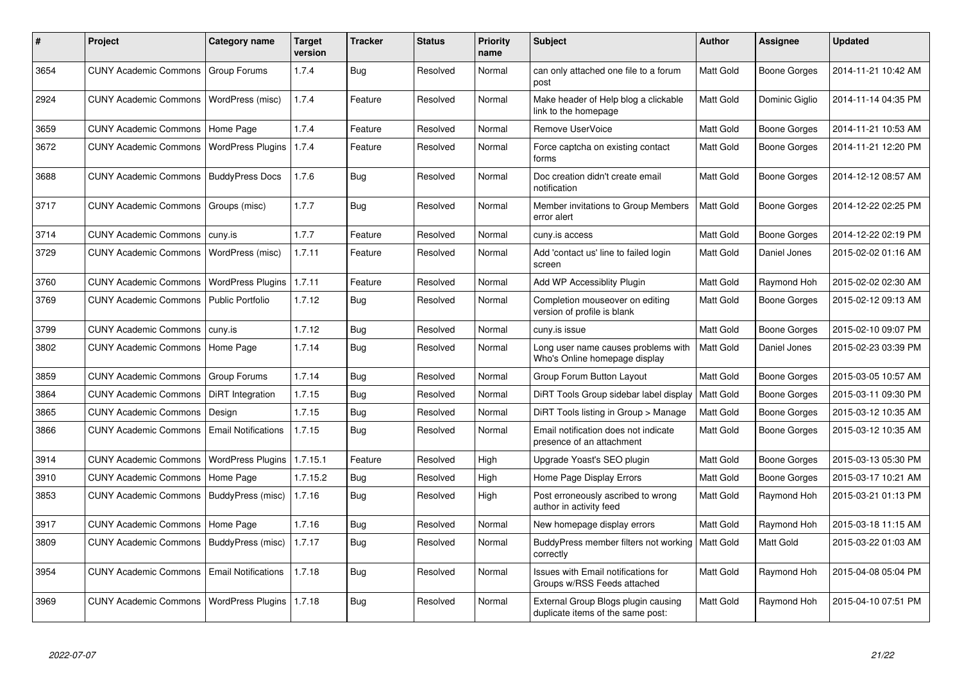| #    | <b>Project</b>                           | Category name              | <b>Target</b><br>version | <b>Tracker</b> | <b>Status</b> | <b>Priority</b><br>name | <b>Subject</b>                                                           | <b>Author</b>    | Assignee       | <b>Updated</b>      |
|------|------------------------------------------|----------------------------|--------------------------|----------------|---------------|-------------------------|--------------------------------------------------------------------------|------------------|----------------|---------------------|
| 3654 | CUNY Academic Commons   Group Forums     |                            | 1.7.4                    | Bug            | Resolved      | Normal                  | can only attached one file to a forum<br>post                            | Matt Gold        | Boone Gorges   | 2014-11-21 10:42 AM |
| 2924 | CUNY Academic Commons   WordPress (misc) |                            | 1.7.4                    | Feature        | Resolved      | Normal                  | Make header of Help blog a clickable<br>link to the homepage             | Matt Gold        | Dominic Giglio | 2014-11-14 04:35 PM |
| 3659 | <b>CUNY Academic Commons</b>             | Home Page                  | 1.7.4                    | Feature        | Resolved      | Normal                  | Remove UserVoice                                                         | Matt Gold        | Boone Gorges   | 2014-11-21 10:53 AM |
| 3672 | <b>CUNY Academic Commons</b>             | <b>WordPress Plugins</b>   | 1.7.4                    | Feature        | Resolved      | Normal                  | Force captcha on existing contact<br>forms                               | Matt Gold        | Boone Gorges   | 2014-11-21 12:20 PM |
| 3688 | <b>CUNY Academic Commons</b>             | <b>BuddyPress Docs</b>     | 1.7.6                    | <b>Bug</b>     | Resolved      | Normal                  | Doc creation didn't create email<br>notification                         | Matt Gold        | Boone Gorges   | 2014-12-12 08:57 AM |
| 3717 | <b>CUNY Academic Commons</b>             | Groups (misc)              | 1.7.7                    | Bug            | Resolved      | Normal                  | Member invitations to Group Members<br>error alert                       | Matt Gold        | Boone Gorges   | 2014-12-22 02:25 PM |
| 3714 | <b>CUNY Academic Commons</b>             | cuny.is                    | 1.7.7                    | Feature        | Resolved      | Normal                  | cuny.is access                                                           | Matt Gold        | Boone Gorges   | 2014-12-22 02:19 PM |
| 3729 | <b>CUNY Academic Commons</b>             | WordPress (misc)           | 1.7.11                   | Feature        | Resolved      | Normal                  | Add 'contact us' line to failed login<br>screen                          | Matt Gold        | Daniel Jones   | 2015-02-02 01:16 AM |
| 3760 | <b>CUNY Academic Commons</b>             | <b>WordPress Plugins</b>   | 1.7.11                   | Feature        | Resolved      | Normal                  | Add WP Accessiblity Plugin                                               | Matt Gold        | Raymond Hoh    | 2015-02-02 02:30 AM |
| 3769 | <b>CUNY Academic Commons</b>             | <b>Public Portfolio</b>    | 1.7.12                   | <b>Bug</b>     | Resolved      | Normal                  | Completion mouseover on editing<br>version of profile is blank           | Matt Gold        | Boone Gorges   | 2015-02-12 09:13 AM |
| 3799 | <b>CUNY Academic Commons</b>             | cuny.is                    | 1.7.12                   | Bug            | Resolved      | Normal                  | cuny.is issue                                                            | Matt Gold        | Boone Gorges   | 2015-02-10 09:07 PM |
| 3802 | <b>CUNY Academic Commons</b>             | Home Page                  | 1.7.14                   | Bug            | Resolved      | Normal                  | Long user name causes problems with<br>Who's Online homepage display     | Matt Gold        | Daniel Jones   | 2015-02-23 03:39 PM |
| 3859 | <b>CUNY Academic Commons</b>             | Group Forums               | 1.7.14                   | Bug            | Resolved      | Normal                  | Group Forum Button Layout                                                | Matt Gold        | Boone Gorges   | 2015-03-05 10:57 AM |
| 3864 | <b>CUNY Academic Commons</b>             | DiRT Integration           | 1.7.15                   | Bug            | Resolved      | Normal                  | DiRT Tools Group sidebar label display                                   | Matt Gold        | Boone Gorges   | 2015-03-11 09:30 PM |
| 3865 | <b>CUNY Academic Commons</b>             | Design                     | 1.7.15                   | <b>Bug</b>     | Resolved      | Normal                  | DiRT Tools listing in Group > Manage                                     | Matt Gold        | Boone Gorges   | 2015-03-12 10:35 AM |
| 3866 | <b>CUNY Academic Commons</b>             | <b>Email Notifications</b> | 1.7.15                   | Bug            | Resolved      | Normal                  | Email notification does not indicate<br>presence of an attachment        | Matt Gold        | Boone Gorges   | 2015-03-12 10:35 AM |
| 3914 | <b>CUNY Academic Commons</b>             | <b>WordPress Plugins</b>   | 1.7.15.1                 | Feature        | Resolved      | High                    | Upgrade Yoast's SEO plugin                                               | Matt Gold        | Boone Gorges   | 2015-03-13 05:30 PM |
| 3910 | <b>CUNY Academic Commons</b>             | Home Page                  | 1.7.15.2                 | Bug            | Resolved      | High                    | Home Page Display Errors                                                 | Matt Gold        | Boone Gorges   | 2015-03-17 10:21 AM |
| 3853 | <b>CUNY Academic Commons</b>             | BuddyPress (misc)          | 1.7.16                   | Bug            | Resolved      | High                    | Post erroneously ascribed to wrong<br>author in activity feed            | Matt Gold        | Raymond Hoh    | 2015-03-21 01:13 PM |
| 3917 | <b>CUNY Academic Commons</b>             | Home Page                  | 1.7.16                   | Bug            | Resolved      | Normal                  | New homepage display errors                                              | Matt Gold        | Raymond Hoh    | 2015-03-18 11:15 AM |
| 3809 | <b>CUNY Academic Commons</b>             | BuddyPress (misc)          | 1.7.17                   | <b>Bug</b>     | Resolved      | Normal                  | BuddyPress member filters not working<br>correctly                       | <b>Matt Gold</b> | Matt Gold      | 2015-03-22 01:03 AM |
| 3954 | <b>CUNY Academic Commons</b>             | <b>Email Notifications</b> | 1.7.18                   | Bug            | Resolved      | Normal                  | Issues with Email notifications for<br>Groups w/RSS Feeds attached       | Matt Gold        | Raymond Hoh    | 2015-04-08 05:04 PM |
| 3969 | <b>CUNY Academic Commons</b>             | <b>WordPress Plugins</b>   | 1.7.18                   | <b>Bug</b>     | Resolved      | Normal                  | External Group Blogs plugin causing<br>duplicate items of the same post: | Matt Gold        | Raymond Hoh    | 2015-04-10 07:51 PM |